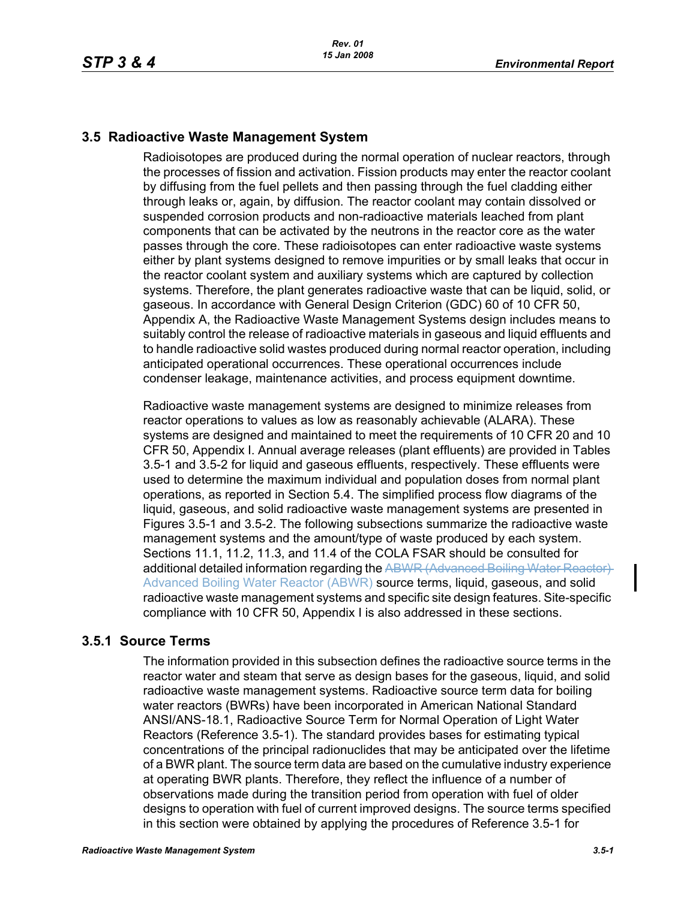# **3.5 Radioactive Waste Management System**

Radioisotopes are produced during the normal operation of nuclear reactors, through the processes of fission and activation. Fission products may enter the reactor coolant by diffusing from the fuel pellets and then passing through the fuel cladding either through leaks or, again, by diffusion. The reactor coolant may contain dissolved or suspended corrosion products and non-radioactive materials leached from plant components that can be activated by the neutrons in the reactor core as the water passes through the core. These radioisotopes can enter radioactive waste systems either by plant systems designed to remove impurities or by small leaks that occur in the reactor coolant system and auxiliary systems which are captured by collection systems. Therefore, the plant generates radioactive waste that can be liquid, solid, or gaseous. In accordance with General Design Criterion (GDC) 60 of 10 CFR 50, Appendix A, the Radioactive Waste Management Systems design includes means to suitably control the release of radioactive materials in gaseous and liquid effluents and to handle radioactive solid wastes produced during normal reactor operation, including anticipated operational occurrences. These operational occurrences include condenser leakage, maintenance activities, and process equipment downtime.

Radioactive waste management systems are designed to minimize releases from reactor operations to values as low as reasonably achievable (ALARA). These systems are designed and maintained to meet the requirements of 10 CFR 20 and 10 CFR 50, Appendix I. Annual average releases (plant effluents) are provided in Tables 3.5-1 and 3.5-2 for liquid and gaseous effluents, respectively. These effluents were used to determine the maximum individual and population doses from normal plant operations, as reported in Section 5.4. The simplified process flow diagrams of the liquid, gaseous, and solid radioactive waste management systems are presented in Figures 3.5-1 and 3.5-2. The following subsections summarize the radioactive waste management systems and the amount/type of waste produced by each system. Sections 11.1, 11.2, 11.3, and 11.4 of the COLA FSAR should be consulted for additional detailed information regarding the ABWR (Advanced Boiling Water Reactor) Advanced Boiling Water Reactor (ABWR) source terms, liquid, gaseous, and solid radioactive waste management systems and specific site design features. Site-specific compliance with 10 CFR 50, Appendix I is also addressed in these sections.

# **3.5.1 Source Terms**

The information provided in this subsection defines the radioactive source terms in the reactor water and steam that serve as design bases for the gaseous, liquid, and solid radioactive waste management systems. Radioactive source term data for boiling water reactors (BWRs) have been incorporated in American National Standard ANSI/ANS-18.1, Radioactive Source Term for Normal Operation of Light Water Reactors (Reference 3.5-1). The standard provides bases for estimating typical concentrations of the principal radionuclides that may be anticipated over the lifetime of a BWR plant. The source term data are based on the cumulative industry experience at operating BWR plants. Therefore, they reflect the influence of a number of observations made during the transition period from operation with fuel of older designs to operation with fuel of current improved designs. The source terms specified in this section were obtained by applying the procedures of Reference 3.5-1 for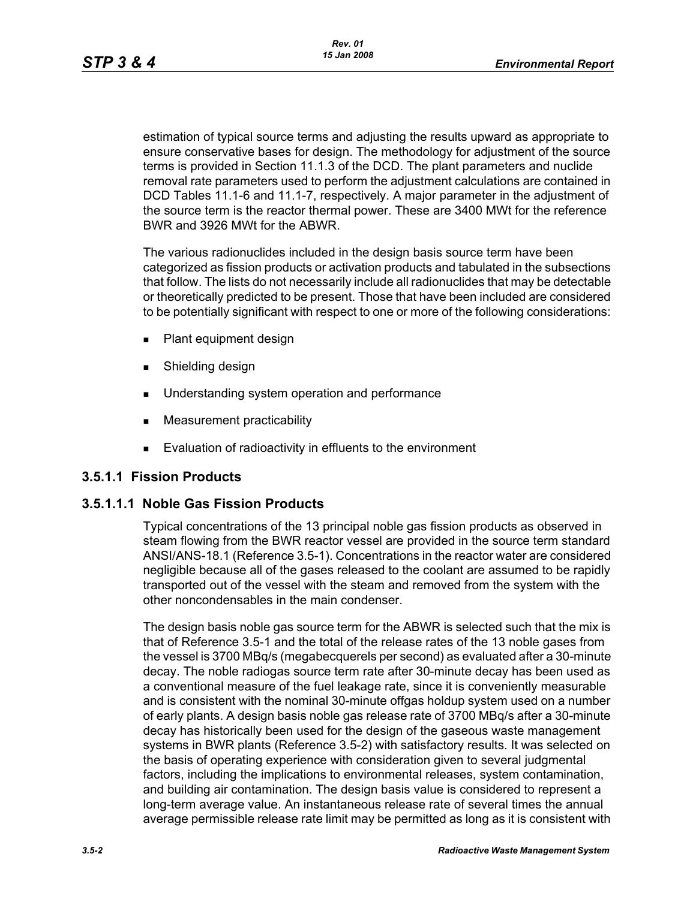estimation of typical source terms and adjusting the results upward as appropriate to ensure conservative bases for design. The methodology for adjustment of the source terms is provided in Section 11.1.3 of the DCD. The plant parameters and nuclide removal rate parameters used to perform the adjustment calculations are contained in DCD Tables 11.1-6 and 11.1-7, respectively. A major parameter in the adjustment of the source term is the reactor thermal power. These are 3400 MWt for the reference BWR and 3926 MWt for the ABWR.

The various radionuclides included in the design basis source term have been categorized as fission products or activation products and tabulated in the subsections that follow. The lists do not necessarily include all radionuclides that may be detectable or theoretically predicted to be present. Those that have been included are considered to be potentially significant with respect to one or more of the following considerations:

- **Plant equipment design**
- **Burnelling design**
- **Understanding system operation and performance**
- **Measurement practicability**
- **Evaluation of radioactivity in effluents to the environment**

# **3.5.1.1 Fission Products**

# **3.5.1.1.1 Noble Gas Fission Products**

Typical concentrations of the 13 principal noble gas fission products as observed in steam flowing from the BWR reactor vessel are provided in the source term standard ANSI/ANS-18.1 (Reference 3.5-1). Concentrations in the reactor water are considered negligible because all of the gases released to the coolant are assumed to be rapidly transported out of the vessel with the steam and removed from the system with the other noncondensables in the main condenser.

The design basis noble gas source term for the ABWR is selected such that the mix is that of Reference 3.5-1 and the total of the release rates of the 13 noble gases from the vessel is 3700 MBq/s (megabecquerels per second) as evaluated after a 30-minute decay. The noble radiogas source term rate after 30-minute decay has been used as a conventional measure of the fuel leakage rate, since it is conveniently measurable and is consistent with the nominal 30-minute offgas holdup system used on a number of early plants. A design basis noble gas release rate of 3700 MBq/s after a 30-minute decay has historically been used for the design of the gaseous waste management systems in BWR plants (Reference 3.5-2) with satisfactory results. It was selected on the basis of operating experience with consideration given to several judgmental factors, including the implications to environmental releases, system contamination, and building air contamination. The design basis value is considered to represent a long-term average value. An instantaneous release rate of several times the annual average permissible release rate limit may be permitted as long as it is consistent with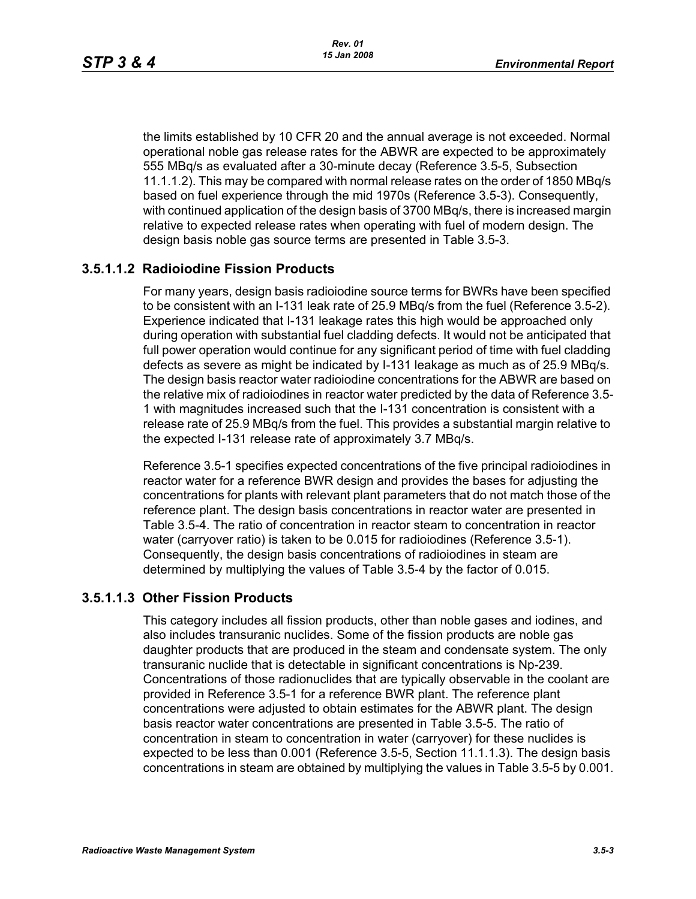the limits established by 10 CFR 20 and the annual average is not exceeded. Normal operational noble gas release rates for the ABWR are expected to be approximately 555 MBq/s as evaluated after a 30-minute decay (Reference 3.5-5, Subsection 11.1.1.2). This may be compared with normal release rates on the order of 1850 MBq/s based on fuel experience through the mid 1970s (Reference 3.5-3). Consequently, with continued application of the design basis of 3700 MBq/s, there is increased margin relative to expected release rates when operating with fuel of modern design. The design basis noble gas source terms are presented in Table 3.5-3.

# **3.5.1.1.2 Radioiodine Fission Products**

For many years, design basis radioiodine source terms for BWRs have been specified to be consistent with an I-131 leak rate of 25.9 MBq/s from the fuel (Reference 3.5-2). Experience indicated that I-131 leakage rates this high would be approached only during operation with substantial fuel cladding defects. It would not be anticipated that full power operation would continue for any significant period of time with fuel cladding defects as severe as might be indicated by I-131 leakage as much as of 25.9 MBq/s. The design basis reactor water radioiodine concentrations for the ABWR are based on the relative mix of radioiodines in reactor water predicted by the data of Reference 3.5- 1 with magnitudes increased such that the I-131 concentration is consistent with a release rate of 25.9 MBq/s from the fuel. This provides a substantial margin relative to the expected I-131 release rate of approximately 3.7 MBq/s.

Reference 3.5-1 specifies expected concentrations of the five principal radioiodines in reactor water for a reference BWR design and provides the bases for adjusting the concentrations for plants with relevant plant parameters that do not match those of the reference plant. The design basis concentrations in reactor water are presented in Table 3.5-4. The ratio of concentration in reactor steam to concentration in reactor water (carryover ratio) is taken to be 0.015 for radioiodines (Reference 3.5-1). Consequently, the design basis concentrations of radioiodines in steam are determined by multiplying the values of Table 3.5-4 by the factor of 0.015.

#### **3.5.1.1.3 Other Fission Products**

This category includes all fission products, other than noble gases and iodines, and also includes transuranic nuclides. Some of the fission products are noble gas daughter products that are produced in the steam and condensate system. The only transuranic nuclide that is detectable in significant concentrations is Np-239. Concentrations of those radionuclides that are typically observable in the coolant are provided in Reference 3.5-1 for a reference BWR plant. The reference plant concentrations were adjusted to obtain estimates for the ABWR plant. The design basis reactor water concentrations are presented in Table 3.5-5. The ratio of concentration in steam to concentration in water (carryover) for these nuclides is expected to be less than 0.001 (Reference 3.5-5, Section 11.1.1.3). The design basis concentrations in steam are obtained by multiplying the values in Table 3.5-5 by 0.001.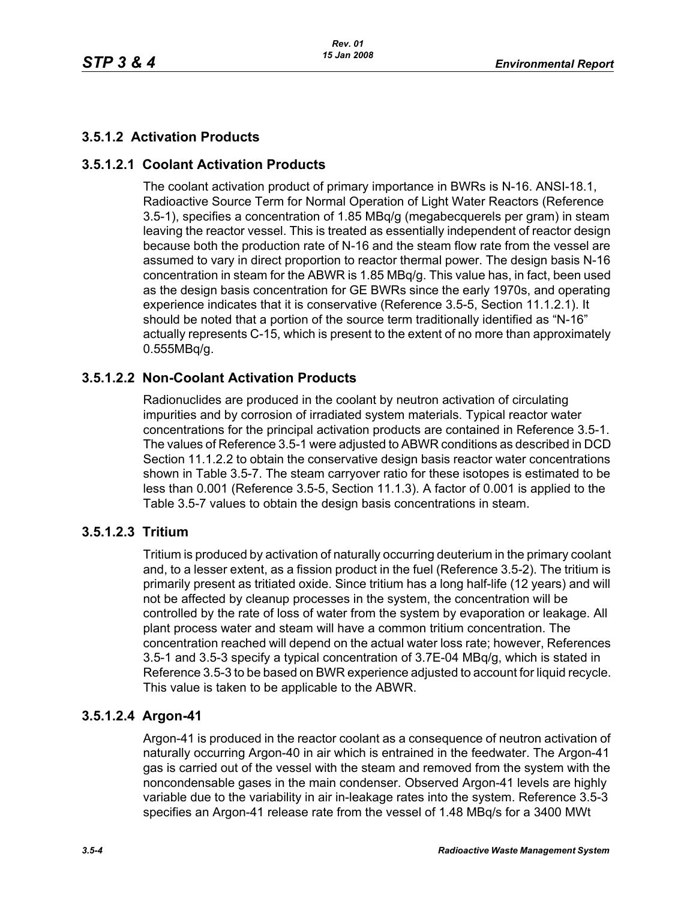# **3.5.1.2 Activation Products**

# **3.5.1.2.1 Coolant Activation Products**

The coolant activation product of primary importance in BWRs is N-16. ANSI-18.1, Radioactive Source Term for Normal Operation of Light Water Reactors (Reference 3.5-1), specifies a concentration of 1.85 MBq/g (megabecquerels per gram) in steam leaving the reactor vessel. This is treated as essentially independent of reactor design because both the production rate of N-16 and the steam flow rate from the vessel are assumed to vary in direct proportion to reactor thermal power. The design basis N-16 concentration in steam for the ABWR is 1.85 MBq/g. This value has, in fact, been used as the design basis concentration for GE BWRs since the early 1970s, and operating experience indicates that it is conservative (Reference 3.5-5, Section 11.1.2.1). It should be noted that a portion of the source term traditionally identified as "N-16" actually represents C-15, which is present to the extent of no more than approximately 0.555MBq/g.

# **3.5.1.2.2 Non-Coolant Activation Products**

Radionuclides are produced in the coolant by neutron activation of circulating impurities and by corrosion of irradiated system materials. Typical reactor water concentrations for the principal activation products are contained in Reference 3.5-1. The values of Reference 3.5-1 were adjusted to ABWR conditions as described in DCD Section 11.1.2.2 to obtain the conservative design basis reactor water concentrations shown in Table 3.5-7. The steam carryover ratio for these isotopes is estimated to be less than 0.001 (Reference 3.5-5, Section 11.1.3). A factor of 0.001 is applied to the Table 3.5-7 values to obtain the design basis concentrations in steam.

# **3.5.1.2.3 Tritium**

Tritium is produced by activation of naturally occurring deuterium in the primary coolant and, to a lesser extent, as a fission product in the fuel (Reference 3.5-2). The tritium is primarily present as tritiated oxide. Since tritium has a long half-life (12 years) and will not be affected by cleanup processes in the system, the concentration will be controlled by the rate of loss of water from the system by evaporation or leakage. All plant process water and steam will have a common tritium concentration. The concentration reached will depend on the actual water loss rate; however, References 3.5-1 and 3.5-3 specify a typical concentration of 3.7E-04 MBq/g, which is stated in Reference 3.5-3 to be based on BWR experience adjusted to account for liquid recycle. This value is taken to be applicable to the ABWR.

# **3.5.1.2.4 Argon-41**

Argon-41 is produced in the reactor coolant as a consequence of neutron activation of naturally occurring Argon-40 in air which is entrained in the feedwater. The Argon-41 gas is carried out of the vessel with the steam and removed from the system with the noncondensable gases in the main condenser. Observed Argon-41 levels are highly variable due to the variability in air in-leakage rates into the system. Reference 3.5-3 specifies an Argon-41 release rate from the vessel of 1.48 MBq/s for a 3400 MWt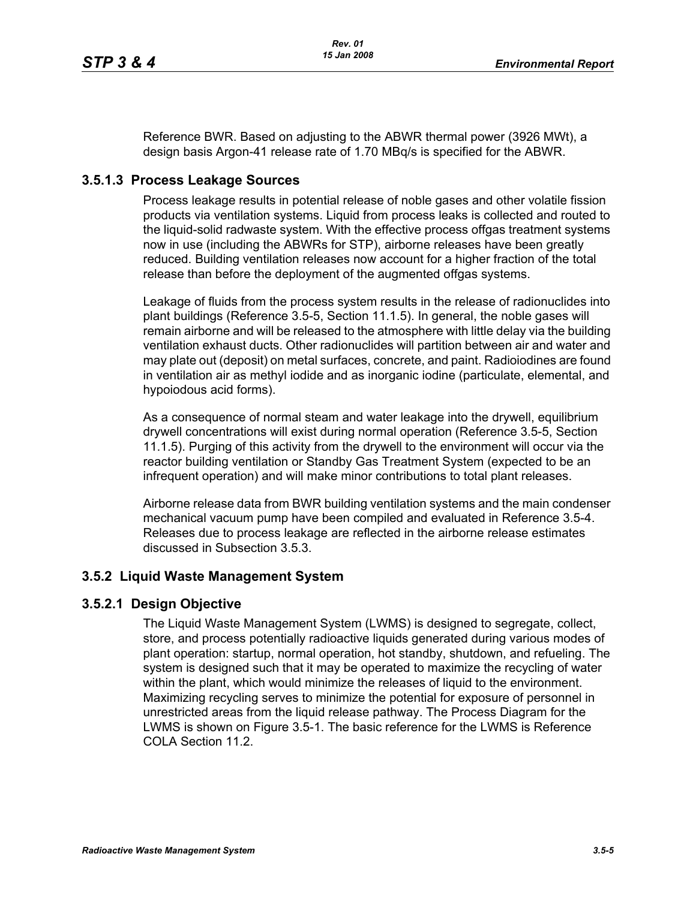Reference BWR. Based on adjusting to the ABWR thermal power (3926 MWt), a design basis Argon-41 release rate of 1.70 MBq/s is specified for the ABWR.

### **3.5.1.3 Process Leakage Sources**

Process leakage results in potential release of noble gases and other volatile fission products via ventilation systems. Liquid from process leaks is collected and routed to the liquid-solid radwaste system. With the effective process offgas treatment systems now in use (including the ABWRs for STP), airborne releases have been greatly reduced. Building ventilation releases now account for a higher fraction of the total release than before the deployment of the augmented offgas systems.

Leakage of fluids from the process system results in the release of radionuclides into plant buildings (Reference 3.5-5, Section 11.1.5). In general, the noble gases will remain airborne and will be released to the atmosphere with little delay via the building ventilation exhaust ducts. Other radionuclides will partition between air and water and may plate out (deposit) on metal surfaces, concrete, and paint. Radioiodines are found in ventilation air as methyl iodide and as inorganic iodine (particulate, elemental, and hypoiodous acid forms).

As a consequence of normal steam and water leakage into the drywell, equilibrium drywell concentrations will exist during normal operation (Reference 3.5-5, Section 11.1.5). Purging of this activity from the drywell to the environment will occur via the reactor building ventilation or Standby Gas Treatment System (expected to be an infrequent operation) and will make minor contributions to total plant releases.

Airborne release data from BWR building ventilation systems and the main condenser mechanical vacuum pump have been compiled and evaluated in Reference 3.5-4. Releases due to process leakage are reflected in the airborne release estimates discussed in Subsection 3.5.3.

### **3.5.2 Liquid Waste Management System**

#### **3.5.2.1 Design Objective**

The Liquid Waste Management System (LWMS) is designed to segregate, collect, store, and process potentially radioactive liquids generated during various modes of plant operation: startup, normal operation, hot standby, shutdown, and refueling. The system is designed such that it may be operated to maximize the recycling of water within the plant, which would minimize the releases of liquid to the environment. Maximizing recycling serves to minimize the potential for exposure of personnel in unrestricted areas from the liquid release pathway. The Process Diagram for the LWMS is shown on Figure 3.5-1. The basic reference for the LWMS is Reference COLA Section 11.2.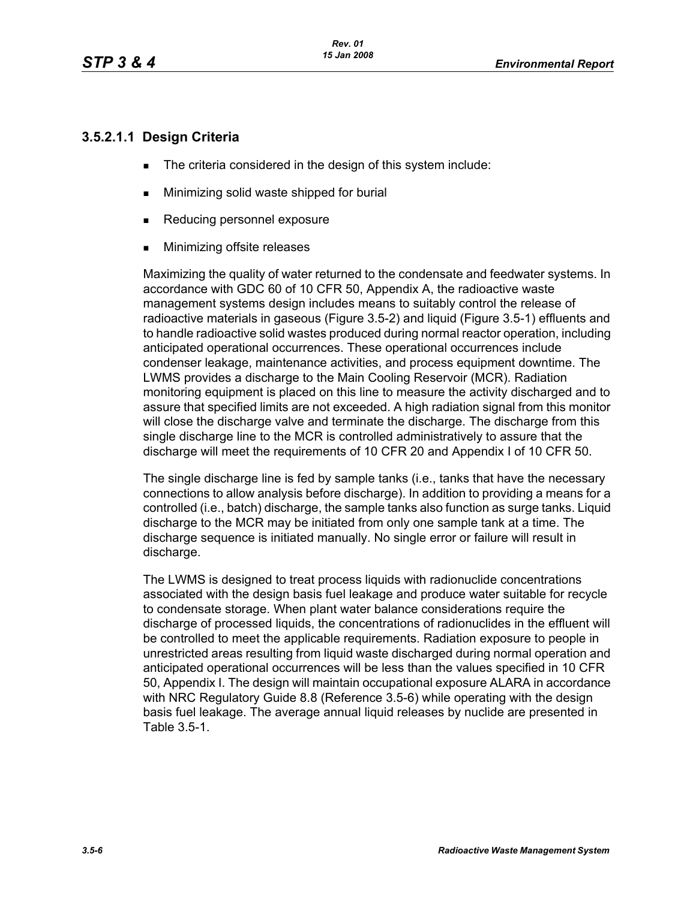# **3.5.2.1.1 Design Criteria**

- The criteria considered in the design of this system include:
- **Minimizing solid waste shipped for burial**
- Reducing personnel exposure
- **Minimizing offsite releases**

Maximizing the quality of water returned to the condensate and feedwater systems. In accordance with GDC 60 of 10 CFR 50, Appendix A, the radioactive waste management systems design includes means to suitably control the release of radioactive materials in gaseous (Figure 3.5-2) and liquid (Figure 3.5-1) effluents and to handle radioactive solid wastes produced during normal reactor operation, including anticipated operational occurrences. These operational occurrences include condenser leakage, maintenance activities, and process equipment downtime. The LWMS provides a discharge to the Main Cooling Reservoir (MCR). Radiation monitoring equipment is placed on this line to measure the activity discharged and to assure that specified limits are not exceeded. A high radiation signal from this monitor will close the discharge valve and terminate the discharge. The discharge from this single discharge line to the MCR is controlled administratively to assure that the discharge will meet the requirements of 10 CFR 20 and Appendix I of 10 CFR 50.

The single discharge line is fed by sample tanks (i.e., tanks that have the necessary connections to allow analysis before discharge). In addition to providing a means for a controlled (i.e., batch) discharge, the sample tanks also function as surge tanks. Liquid discharge to the MCR may be initiated from only one sample tank at a time. The discharge sequence is initiated manually. No single error or failure will result in discharge.

The LWMS is designed to treat process liquids with radionuclide concentrations associated with the design basis fuel leakage and produce water suitable for recycle to condensate storage. When plant water balance considerations require the discharge of processed liquids, the concentrations of radionuclides in the effluent will be controlled to meet the applicable requirements. Radiation exposure to people in unrestricted areas resulting from liquid waste discharged during normal operation and anticipated operational occurrences will be less than the values specified in 10 CFR 50, Appendix I. The design will maintain occupational exposure ALARA in accordance with NRC Regulatory Guide 8.8 (Reference 3.5-6) while operating with the design basis fuel leakage. The average annual liquid releases by nuclide are presented in Table 3.5-1.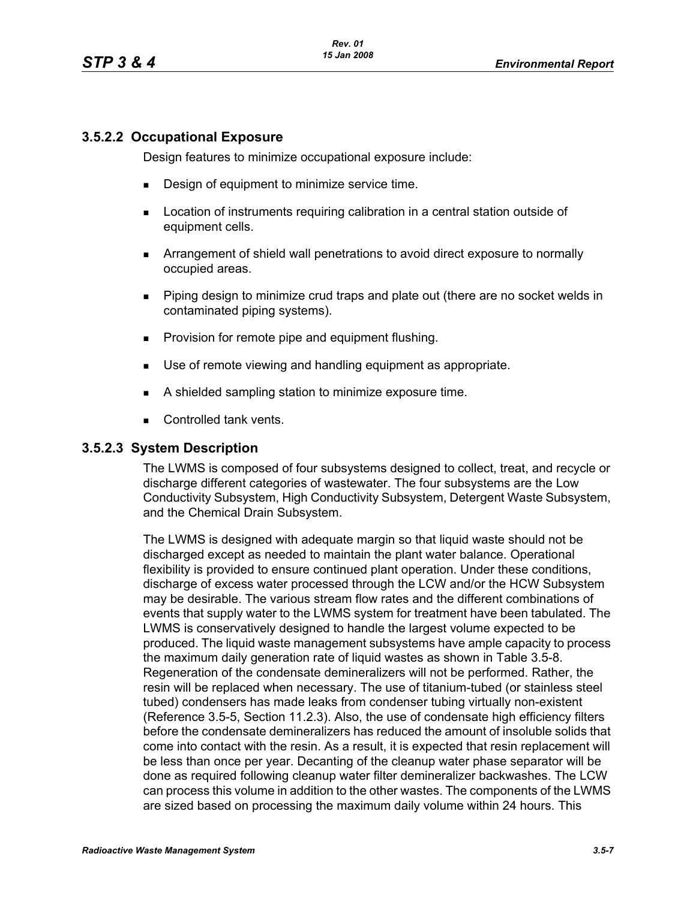### **3.5.2.2 Occupational Exposure**

Design features to minimize occupational exposure include:

- **Design of equipment to minimize service time.**
- **EXECT** Location of instruments requiring calibration in a central station outside of equipment cells.
- Arrangement of shield wall penetrations to avoid direct exposure to normally occupied areas.
- Piping design to minimize crud traps and plate out (there are no socket welds in contaminated piping systems).
- **Provision for remote pipe and equipment flushing.**
- Use of remote viewing and handling equipment as appropriate.
- A shielded sampling station to minimize exposure time.
- Controlled tank vents.

#### **3.5.2.3 System Description**

The LWMS is composed of four subsystems designed to collect, treat, and recycle or discharge different categories of wastewater. The four subsystems are the Low Conductivity Subsystem, High Conductivity Subsystem, Detergent Waste Subsystem, and the Chemical Drain Subsystem.

The LWMS is designed with adequate margin so that liquid waste should not be discharged except as needed to maintain the plant water balance. Operational flexibility is provided to ensure continued plant operation. Under these conditions, discharge of excess water processed through the LCW and/or the HCW Subsystem may be desirable. The various stream flow rates and the different combinations of events that supply water to the LWMS system for treatment have been tabulated. The LWMS is conservatively designed to handle the largest volume expected to be produced. The liquid waste management subsystems have ample capacity to process the maximum daily generation rate of liquid wastes as shown in Table 3.5-8. Regeneration of the condensate demineralizers will not be performed. Rather, the resin will be replaced when necessary. The use of titanium-tubed (or stainless steel tubed) condensers has made leaks from condenser tubing virtually non-existent (Reference 3.5-5, Section 11.2.3). Also, the use of condensate high efficiency filters before the condensate demineralizers has reduced the amount of insoluble solids that come into contact with the resin. As a result, it is expected that resin replacement will be less than once per year. Decanting of the cleanup water phase separator will be done as required following cleanup water filter demineralizer backwashes. The LCW can process this volume in addition to the other wastes. The components of the LWMS are sized based on processing the maximum daily volume within 24 hours. This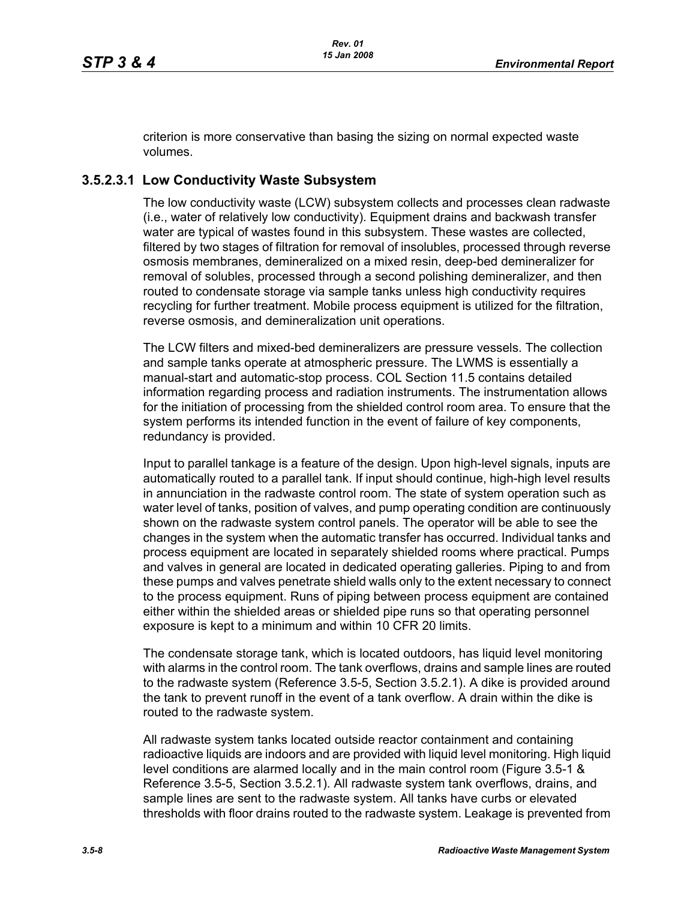criterion is more conservative than basing the sizing on normal expected waste volumes.

### **3.5.2.3.1 Low Conductivity Waste Subsystem**

The low conductivity waste (LCW) subsystem collects and processes clean radwaste (i.e., water of relatively low conductivity). Equipment drains and backwash transfer water are typical of wastes found in this subsystem. These wastes are collected, filtered by two stages of filtration for removal of insolubles, processed through reverse osmosis membranes, demineralized on a mixed resin, deep-bed demineralizer for removal of solubles, processed through a second polishing demineralizer, and then routed to condensate storage via sample tanks unless high conductivity requires recycling for further treatment. Mobile process equipment is utilized for the filtration, reverse osmosis, and demineralization unit operations.

The LCW filters and mixed-bed demineralizers are pressure vessels. The collection and sample tanks operate at atmospheric pressure. The LWMS is essentially a manual-start and automatic-stop process. COL Section 11.5 contains detailed information regarding process and radiation instruments. The instrumentation allows for the initiation of processing from the shielded control room area. To ensure that the system performs its intended function in the event of failure of key components, redundancy is provided.

Input to parallel tankage is a feature of the design. Upon high-level signals, inputs are automatically routed to a parallel tank. If input should continue, high-high level results in annunciation in the radwaste control room. The state of system operation such as water level of tanks, position of valves, and pump operating condition are continuously shown on the radwaste system control panels. The operator will be able to see the changes in the system when the automatic transfer has occurred. Individual tanks and process equipment are located in separately shielded rooms where practical. Pumps and valves in general are located in dedicated operating galleries. Piping to and from these pumps and valves penetrate shield walls only to the extent necessary to connect to the process equipment. Runs of piping between process equipment are contained either within the shielded areas or shielded pipe runs so that operating personnel exposure is kept to a minimum and within 10 CFR 20 limits.

The condensate storage tank, which is located outdoors, has liquid level monitoring with alarms in the control room. The tank overflows, drains and sample lines are routed to the radwaste system (Reference 3.5-5, Section 3.5.2.1). A dike is provided around the tank to prevent runoff in the event of a tank overflow. A drain within the dike is routed to the radwaste system.

All radwaste system tanks located outside reactor containment and containing radioactive liquids are indoors and are provided with liquid level monitoring. High liquid level conditions are alarmed locally and in the main control room (Figure 3.5-1 & Reference 3.5-5, Section 3.5.2.1). All radwaste system tank overflows, drains, and sample lines are sent to the radwaste system. All tanks have curbs or elevated thresholds with floor drains routed to the radwaste system. Leakage is prevented from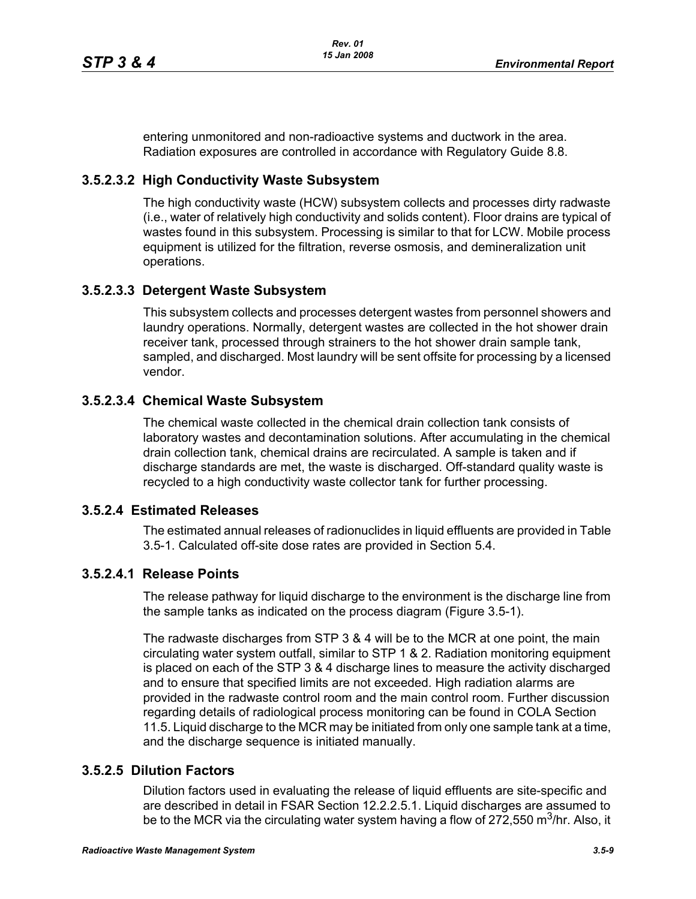entering unmonitored and non-radioactive systems and ductwork in the area. Radiation exposures are controlled in accordance with Regulatory Guide 8.8.

### **3.5.2.3.2 High Conductivity Waste Subsystem**

The high conductivity waste (HCW) subsystem collects and processes dirty radwaste (i.e., water of relatively high conductivity and solids content). Floor drains are typical of wastes found in this subsystem. Processing is similar to that for LCW. Mobile process equipment is utilized for the filtration, reverse osmosis, and demineralization unit operations.

### **3.5.2.3.3 Detergent Waste Subsystem**

This subsystem collects and processes detergent wastes from personnel showers and laundry operations. Normally, detergent wastes are collected in the hot shower drain receiver tank, processed through strainers to the hot shower drain sample tank, sampled, and discharged. Most laundry will be sent offsite for processing by a licensed vendor.

### **3.5.2.3.4 Chemical Waste Subsystem**

The chemical waste collected in the chemical drain collection tank consists of laboratory wastes and decontamination solutions. After accumulating in the chemical drain collection tank, chemical drains are recirculated. A sample is taken and if discharge standards are met, the waste is discharged. Off-standard quality waste is recycled to a high conductivity waste collector tank for further processing.

#### **3.5.2.4 Estimated Releases**

The estimated annual releases of radionuclides in liquid effluents are provided in Table 3.5-1. Calculated off-site dose rates are provided in Section 5.4.

### **3.5.2.4.1 Release Points**

The release pathway for liquid discharge to the environment is the discharge line from the sample tanks as indicated on the process diagram (Figure 3.5-1).

The radwaste discharges from STP 3 & 4 will be to the MCR at one point, the main circulating water system outfall, similar to STP 1 & 2. Radiation monitoring equipment is placed on each of the STP 3 & 4 discharge lines to measure the activity discharged and to ensure that specified limits are not exceeded. High radiation alarms are provided in the radwaste control room and the main control room. Further discussion regarding details of radiological process monitoring can be found in COLA Section 11.5. Liquid discharge to the MCR may be initiated from only one sample tank at a time, and the discharge sequence is initiated manually.

### **3.5.2.5 Dilution Factors**

Dilution factors used in evaluating the release of liquid effluents are site-specific and are described in detail in FSAR Section 12.2.2.5.1. Liquid discharges are assumed to be to the MCR via the circulating water system having a flow of 272,550 m<sup>3</sup>/hr. Also, it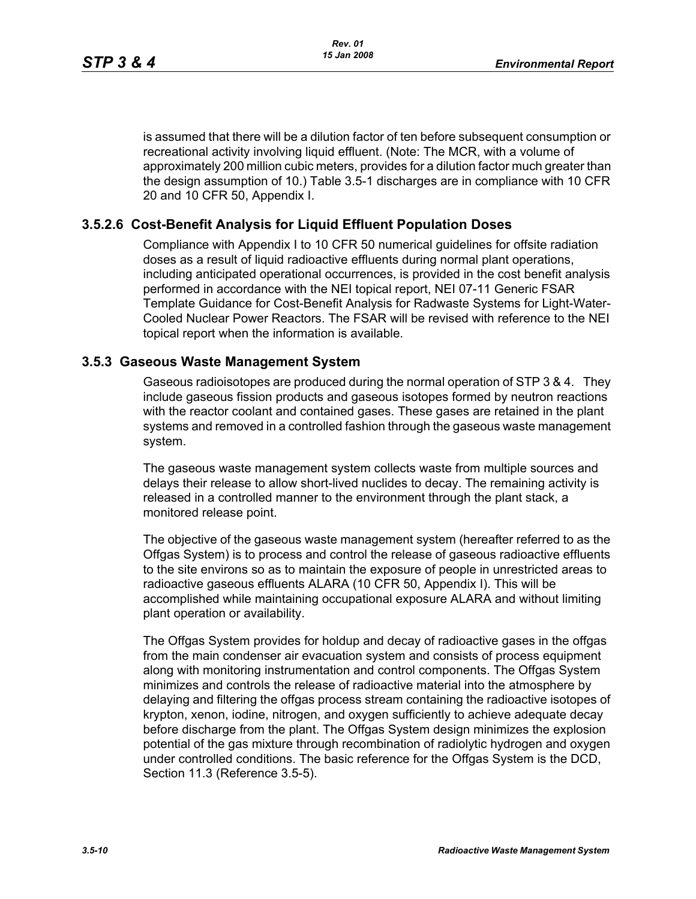is assumed that there will be a dilution factor of ten before subsequent consumption or recreational activity involving liquid effluent. (Note: The MCR, with a volume of approximately 200 million cubic meters, provides for a dilution factor much greater than the design assumption of 10.) Table 3.5-1 discharges are in compliance with 10 CFR 20 and 10 CFR 50, Appendix I.

### **3.5.2.6 Cost-Benefit Analysis for Liquid Effluent Population Doses**

Compliance with Appendix I to 10 CFR 50 numerical guidelines for offsite radiation doses as a result of liquid radioactive effluents during normal plant operations, including anticipated operational occurrences, is provided in the cost benefit analysis performed in accordance with the NEI topical report, NEI 07-11 Generic FSAR Template Guidance for Cost-Benefit Analysis for Radwaste Systems for Light-Water-Cooled Nuclear Power Reactors. The FSAR will be revised with reference to the NEI topical report when the information is available.

#### **3.5.3 Gaseous Waste Management System**

Gaseous radioisotopes are produced during the normal operation of STP 3 & 4. They include gaseous fission products and gaseous isotopes formed by neutron reactions with the reactor coolant and contained gases. These gases are retained in the plant systems and removed in a controlled fashion through the gaseous waste management system.

The gaseous waste management system collects waste from multiple sources and delays their release to allow short-lived nuclides to decay. The remaining activity is released in a controlled manner to the environment through the plant stack, a monitored release point.

The objective of the gaseous waste management system (hereafter referred to as the Offgas System) is to process and control the release of gaseous radioactive effluents to the site environs so as to maintain the exposure of people in unrestricted areas to radioactive gaseous effluents ALARA (10 CFR 50, Appendix I). This will be accomplished while maintaining occupational exposure ALARA and without limiting plant operation or availability.

The Offgas System provides for holdup and decay of radioactive gases in the offgas from the main condenser air evacuation system and consists of process equipment along with monitoring instrumentation and control components. The Offgas System minimizes and controls the release of radioactive material into the atmosphere by delaying and filtering the offgas process stream containing the radioactive isotopes of krypton, xenon, iodine, nitrogen, and oxygen sufficiently to achieve adequate decay before discharge from the plant. The Offgas System design minimizes the explosion potential of the gas mixture through recombination of radiolytic hydrogen and oxygen under controlled conditions. The basic reference for the Offgas System is the DCD, Section 11.3 (Reference 3.5-5).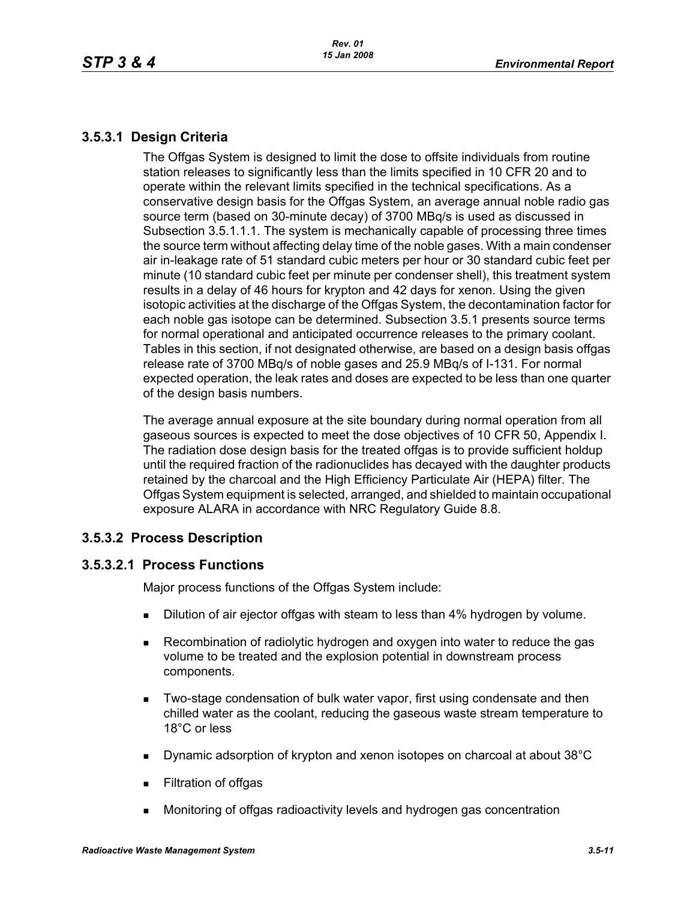# **3.5.3.1 Design Criteria**

The Offgas System is designed to limit the dose to offsite individuals from routine station releases to significantly less than the limits specified in 10 CFR 20 and to operate within the relevant limits specified in the technical specifications. As a conservative design basis for the Offgas System, an average annual noble radio gas source term (based on 30-minute decay) of 3700 MBq/s is used as discussed in Subsection 3.5.1.1.1. The system is mechanically capable of processing three times the source term without affecting delay time of the noble gases. With a main condenser air in-leakage rate of 51 standard cubic meters per hour or 30 standard cubic feet per minute (10 standard cubic feet per minute per condenser shell), this treatment system results in a delay of 46 hours for krypton and 42 days for xenon. Using the given isotopic activities at the discharge of the Offgas System, the decontamination factor for each noble gas isotope can be determined. Subsection 3.5.1 presents source terms for normal operational and anticipated occurrence releases to the primary coolant. Tables in this section, if not designated otherwise, are based on a design basis offgas release rate of 3700 MBq/s of noble gases and 25.9 MBq/s of I-131. For normal expected operation, the leak rates and doses are expected to be less than one quarter of the design basis numbers.

The average annual exposure at the site boundary during normal operation from all gaseous sources is expected to meet the dose objectives of 10 CFR 50, Appendix I. The radiation dose design basis for the treated offgas is to provide sufficient holdup until the required fraction of the radionuclides has decayed with the daughter products retained by the charcoal and the High Efficiency Particulate Air (HEPA) filter. The Offgas System equipment is selected, arranged, and shielded to maintain occupational exposure ALARA in accordance with NRC Regulatory Guide 8.8.

# **3.5.3.2 Process Description**

# **3.5.3.2.1 Process Functions**

Major process functions of the Offgas System include:

- **Dilution of air ejector offgas with steam to less than 4% hydrogen by volume.**
- Recombination of radiolytic hydrogen and oxygen into water to reduce the gas volume to be treated and the explosion potential in downstream process components.
- **Two-stage condensation of bulk water vapor, first using condensate and then** chilled water as the coolant, reducing the gaseous waste stream temperature to 18°C or less
- Dynamic adsorption of krypton and xenon isotopes on charcoal at about 38°C
- **Filtration of offgas**
- Monitoring of offgas radioactivity levels and hydrogen gas concentration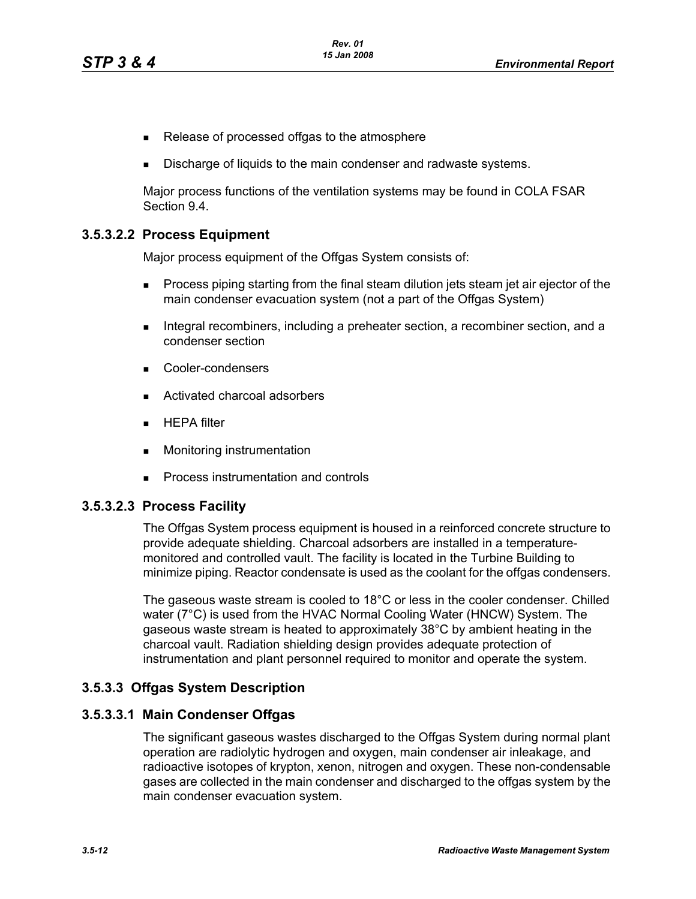- Release of processed offgas to the atmosphere
- Discharge of liquids to the main condenser and radwaste systems.

Major process functions of the ventilation systems may be found in COLA FSAR Section 9.4.

### **3.5.3.2.2 Process Equipment**

Major process equipment of the Offgas System consists of:

- **Process piping starting from the final steam dilution jets steam jet air ejector of the** main condenser evacuation system (not a part of the Offgas System)
- Integral recombiners, including a preheater section, a recombiner section, and a condenser section
- Cooler-condensers
- Activated charcoal adsorbers
- $HEPA$  filter
- **Monitoring instrumentation**
- **Process instrumentation and controls**

#### **3.5.3.2.3 Process Facility**

The Offgas System process equipment is housed in a reinforced concrete structure to provide adequate shielding. Charcoal adsorbers are installed in a temperaturemonitored and controlled vault. The facility is located in the Turbine Building to minimize piping. Reactor condensate is used as the coolant for the offgas condensers.

The gaseous waste stream is cooled to 18°C or less in the cooler condenser. Chilled water (7°C) is used from the HVAC Normal Cooling Water (HNCW) System. The gaseous waste stream is heated to approximately 38°C by ambient heating in the charcoal vault. Radiation shielding design provides adequate protection of instrumentation and plant personnel required to monitor and operate the system.

#### **3.5.3.3 Offgas System Description**

#### **3.5.3.3.1 Main Condenser Offgas**

The significant gaseous wastes discharged to the Offgas System during normal plant operation are radiolytic hydrogen and oxygen, main condenser air inleakage, and radioactive isotopes of krypton, xenon, nitrogen and oxygen. These non-condensable gases are collected in the main condenser and discharged to the offgas system by the main condenser evacuation system.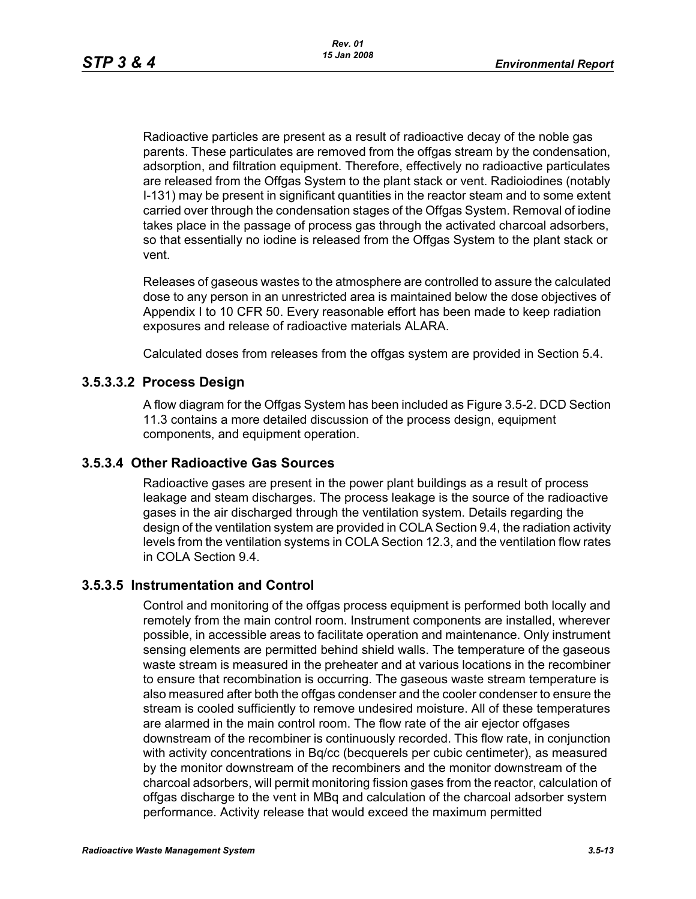Radioactive particles are present as a result of radioactive decay of the noble gas parents. These particulates are removed from the offgas stream by the condensation, adsorption, and filtration equipment. Therefore, effectively no radioactive particulates are released from the Offgas System to the plant stack or vent. Radioiodines (notably I-131) may be present in significant quantities in the reactor steam and to some extent carried over through the condensation stages of the Offgas System. Removal of iodine takes place in the passage of process gas through the activated charcoal adsorbers, so that essentially no iodine is released from the Offgas System to the plant stack or vent.

Releases of gaseous wastes to the atmosphere are controlled to assure the calculated dose to any person in an unrestricted area is maintained below the dose objectives of Appendix I to 10 CFR 50. Every reasonable effort has been made to keep radiation exposures and release of radioactive materials ALARA.

Calculated doses from releases from the offgas system are provided in Section 5.4.

# **3.5.3.3.2 Process Design**

A flow diagram for the Offgas System has been included as Figure 3.5-2. DCD Section 11.3 contains a more detailed discussion of the process design, equipment components, and equipment operation.

#### **3.5.3.4 Other Radioactive Gas Sources**

Radioactive gases are present in the power plant buildings as a result of process leakage and steam discharges. The process leakage is the source of the radioactive gases in the air discharged through the ventilation system. Details regarding the design of the ventilation system are provided in COLA Section 9.4, the radiation activity levels from the ventilation systems in COLA Section 12.3, and the ventilation flow rates in COLA Section 9.4.

#### **3.5.3.5 Instrumentation and Control**

Control and monitoring of the offgas process equipment is performed both locally and remotely from the main control room. Instrument components are installed, wherever possible, in accessible areas to facilitate operation and maintenance. Only instrument sensing elements are permitted behind shield walls. The temperature of the gaseous waste stream is measured in the preheater and at various locations in the recombiner to ensure that recombination is occurring. The gaseous waste stream temperature is also measured after both the offgas condenser and the cooler condenser to ensure the stream is cooled sufficiently to remove undesired moisture. All of these temperatures are alarmed in the main control room. The flow rate of the air ejector offgases downstream of the recombiner is continuously recorded. This flow rate, in conjunction with activity concentrations in Bq/cc (becquerels per cubic centimeter), as measured by the monitor downstream of the recombiners and the monitor downstream of the charcoal adsorbers, will permit monitoring fission gases from the reactor, calculation of offgas discharge to the vent in MBq and calculation of the charcoal adsorber system performance. Activity release that would exceed the maximum permitted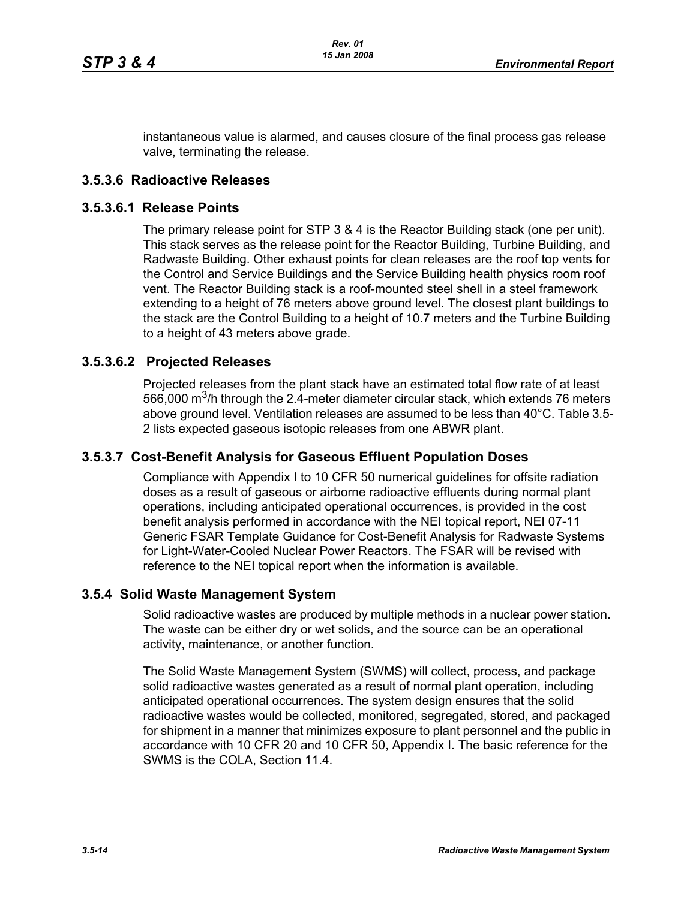instantaneous value is alarmed, and causes closure of the final process gas release valve, terminating the release.

### **3.5.3.6 Radioactive Releases**

#### **3.5.3.6.1 Release Points**

The primary release point for STP 3 & 4 is the Reactor Building stack (one per unit). This stack serves as the release point for the Reactor Building, Turbine Building, and Radwaste Building. Other exhaust points for clean releases are the roof top vents for the Control and Service Buildings and the Service Building health physics room roof vent. The Reactor Building stack is a roof-mounted steel shell in a steel framework extending to a height of 76 meters above ground level. The closest plant buildings to the stack are the Control Building to a height of 10.7 meters and the Turbine Building to a height of 43 meters above grade.

### **3.5.3.6.2 Projected Releases**

Projected releases from the plant stack have an estimated total flow rate of at least 566,000  $\mathrm{m}^3$ /h through the 2.4-meter diameter circular stack, which extends 76 meters above ground level. Ventilation releases are assumed to be less than 40°C. Table 3.5- 2 lists expected gaseous isotopic releases from one ABWR plant.

#### **3.5.3.7 Cost-Benefit Analysis for Gaseous Effluent Population Doses**

Compliance with Appendix I to 10 CFR 50 numerical guidelines for offsite radiation doses as a result of gaseous or airborne radioactive effluents during normal plant operations, including anticipated operational occurrences, is provided in the cost benefit analysis performed in accordance with the NEI topical report, NEI 07-11 Generic FSAR Template Guidance for Cost-Benefit Analysis for Radwaste Systems for Light-Water-Cooled Nuclear Power Reactors. The FSAR will be revised with reference to the NEI topical report when the information is available.

#### **3.5.4 Solid Waste Management System**

Solid radioactive wastes are produced by multiple methods in a nuclear power station. The waste can be either dry or wet solids, and the source can be an operational activity, maintenance, or another function.

The Solid Waste Management System (SWMS) will collect, process, and package solid radioactive wastes generated as a result of normal plant operation, including anticipated operational occurrences. The system design ensures that the solid radioactive wastes would be collected, monitored, segregated, stored, and packaged for shipment in a manner that minimizes exposure to plant personnel and the public in accordance with 10 CFR 20 and 10 CFR 50, Appendix I. The basic reference for the SWMS is the COLA, Section 11.4.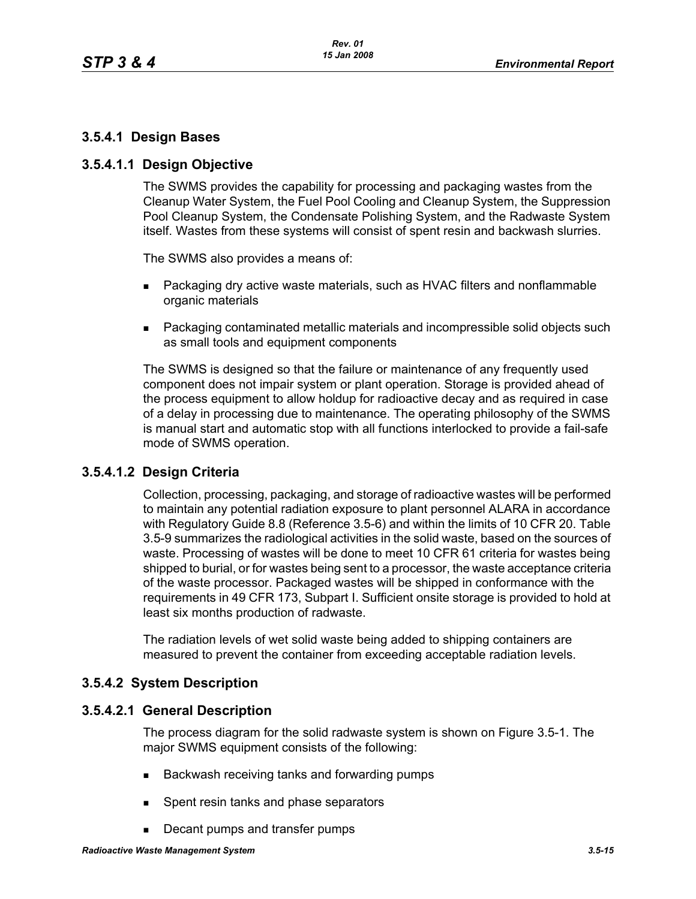# **3.5.4.1 Design Bases**

### **3.5.4.1.1 Design Objective**

The SWMS provides the capability for processing and packaging wastes from the Cleanup Water System, the Fuel Pool Cooling and Cleanup System, the Suppression Pool Cleanup System, the Condensate Polishing System, and the Radwaste System itself. Wastes from these systems will consist of spent resin and backwash slurries.

The SWMS also provides a means of:

- **Packaging dry active waste materials, such as HVAC filters and nonflammable** organic materials
- Packaging contaminated metallic materials and incompressible solid objects such as small tools and equipment components

The SWMS is designed so that the failure or maintenance of any frequently used component does not impair system or plant operation. Storage is provided ahead of the process equipment to allow holdup for radioactive decay and as required in case of a delay in processing due to maintenance. The operating philosophy of the SWMS is manual start and automatic stop with all functions interlocked to provide a fail-safe mode of SWMS operation.

# **3.5.4.1.2 Design Criteria**

Collection, processing, packaging, and storage of radioactive wastes will be performed to maintain any potential radiation exposure to plant personnel ALARA in accordance with Regulatory Guide 8.8 (Reference 3.5-6) and within the limits of 10 CFR 20. Table 3.5-9 summarizes the radiological activities in the solid waste, based on the sources of waste. Processing of wastes will be done to meet 10 CFR 61 criteria for wastes being shipped to burial, or for wastes being sent to a processor, the waste acceptance criteria of the waste processor. Packaged wastes will be shipped in conformance with the requirements in 49 CFR 173, Subpart I. Sufficient onsite storage is provided to hold at least six months production of radwaste.

The radiation levels of wet solid waste being added to shipping containers are measured to prevent the container from exceeding acceptable radiation levels.

# **3.5.4.2 System Description**

#### **3.5.4.2.1 General Description**

The process diagram for the solid radwaste system is shown on Figure 3.5-1. The major SWMS equipment consists of the following:

- Backwash receiving tanks and forwarding pumps
- **Spent resin tanks and phase separators**
- Decant pumps and transfer pumps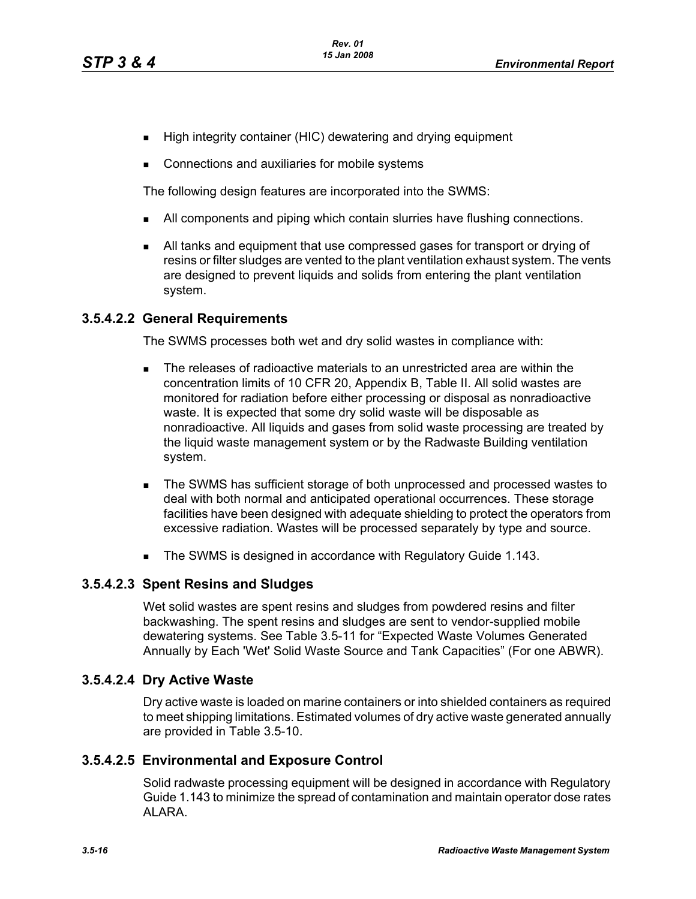- High integrity container (HIC) dewatering and drying equipment
- Connections and auxiliaries for mobile systems

The following design features are incorporated into the SWMS:

- All components and piping which contain slurries have flushing connections.
- All tanks and equipment that use compressed gases for transport or drying of resins or filter sludges are vented to the plant ventilation exhaust system. The vents are designed to prevent liquids and solids from entering the plant ventilation system.

#### **3.5.4.2.2 General Requirements**

The SWMS processes both wet and dry solid wastes in compliance with:

- The releases of radioactive materials to an unrestricted area are within the concentration limits of 10 CFR 20, Appendix B, Table II. All solid wastes are monitored for radiation before either processing or disposal as nonradioactive waste. It is expected that some dry solid waste will be disposable as nonradioactive. All liquids and gases from solid waste processing are treated by the liquid waste management system or by the Radwaste Building ventilation system.
- The SWMS has sufficient storage of both unprocessed and processed wastes to deal with both normal and anticipated operational occurrences. These storage facilities have been designed with adequate shielding to protect the operators from excessive radiation. Wastes will be processed separately by type and source.
- The SWMS is designed in accordance with Regulatory Guide 1.143.

#### **3.5.4.2.3 Spent Resins and Sludges**

Wet solid wastes are spent resins and sludges from powdered resins and filter backwashing. The spent resins and sludges are sent to vendor-supplied mobile dewatering systems. See Table 3.5-11 for "Expected Waste Volumes Generated Annually by Each 'Wet' Solid Waste Source and Tank Capacities" (For one ABWR).

# **3.5.4.2.4 Dry Active Waste**

Dry active waste is loaded on marine containers or into shielded containers as required to meet shipping limitations. Estimated volumes of dry active waste generated annually are provided in Table 3.5-10.

# **3.5.4.2.5 Environmental and Exposure Control**

Solid radwaste processing equipment will be designed in accordance with Regulatory Guide 1.143 to minimize the spread of contamination and maintain operator dose rates ALARA.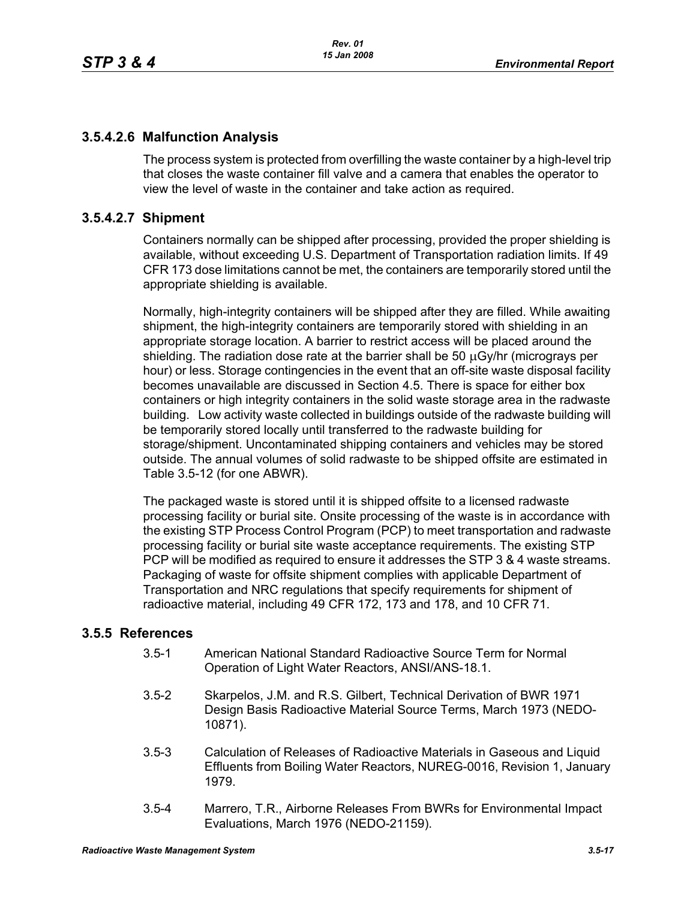# **3.5.4.2.6 Malfunction Analysis**

The process system is protected from overfilling the waste container by a high-level trip that closes the waste container fill valve and a camera that enables the operator to view the level of waste in the container and take action as required.

### **3.5.4.2.7 Shipment**

Containers normally can be shipped after processing, provided the proper shielding is available, without exceeding U.S. Department of Transportation radiation limits. If 49 CFR 173 dose limitations cannot be met, the containers are temporarily stored until the appropriate shielding is available.

Normally, high-integrity containers will be shipped after they are filled. While awaiting shipment, the high-integrity containers are temporarily stored with shielding in an appropriate storage location. A barrier to restrict access will be placed around the shielding. The radiation dose rate at the barrier shall be 50 μGy/hr (micrograys per hour) or less. Storage contingencies in the event that an off-site waste disposal facility becomes unavailable are discussed in Section 4.5. There is space for either box containers or high integrity containers in the solid waste storage area in the radwaste building. Low activity waste collected in buildings outside of the radwaste building will be temporarily stored locally until transferred to the radwaste building for storage/shipment. Uncontaminated shipping containers and vehicles may be stored outside. The annual volumes of solid radwaste to be shipped offsite are estimated in Table 3.5-12 (for one ABWR).

The packaged waste is stored until it is shipped offsite to a licensed radwaste processing facility or burial site. Onsite processing of the waste is in accordance with the existing STP Process Control Program (PCP) to meet transportation and radwaste processing facility or burial site waste acceptance requirements. The existing STP PCP will be modified as required to ensure it addresses the STP 3 & 4 waste streams. Packaging of waste for offsite shipment complies with applicable Department of Transportation and NRC regulations that specify requirements for shipment of radioactive material, including 49 CFR 172, 173 and 178, and 10 CFR 71.

#### **3.5.5 References**

- 3.5-1 American National Standard Radioactive Source Term for Normal Operation of Light Water Reactors, ANSI/ANS-18.1.
- 3.5-2 Skarpelos, J.M. and R.S. Gilbert, Technical Derivation of BWR 1971 Design Basis Radioactive Material Source Terms, March 1973 (NEDO-10871).
- 3.5-3 Calculation of Releases of Radioactive Materials in Gaseous and Liquid Effluents from Boiling Water Reactors, NUREG-0016, Revision 1, January 1979.
- 3.5-4 Marrero, T.R., Airborne Releases From BWRs for Environmental Impact Evaluations, March 1976 (NEDO-21159).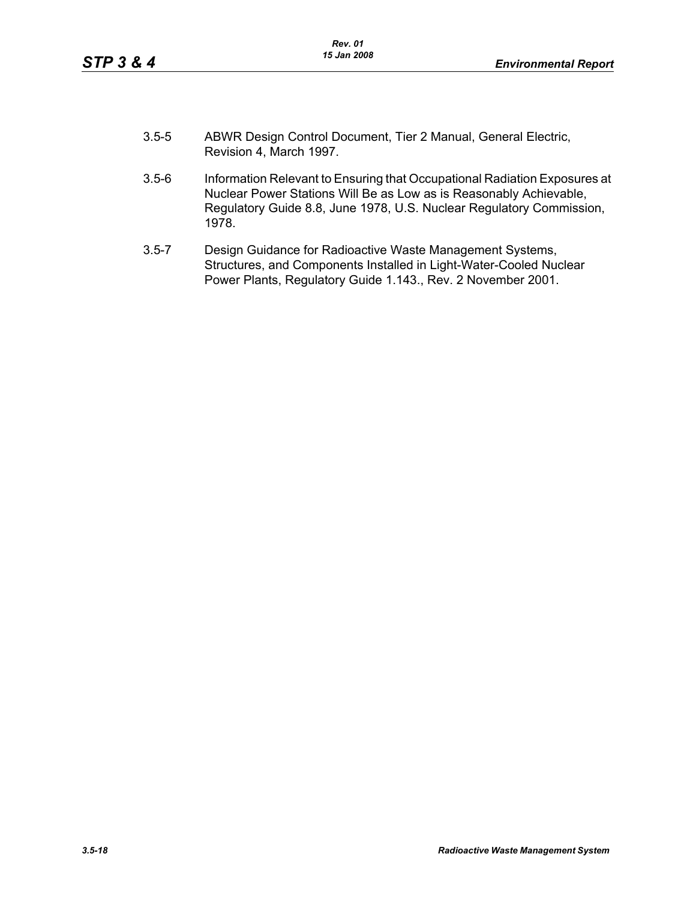- 3.5-5 ABWR Design Control Document, Tier 2 Manual, General Electric, Revision 4, March 1997.
- 3.5-6 Information Relevant to Ensuring that Occupational Radiation Exposures at Nuclear Power Stations Will Be as Low as is Reasonably Achievable, Regulatory Guide 8.8, June 1978, U.S. Nuclear Regulatory Commission, 1978.
- 3.5-7 Design Guidance for Radioactive Waste Management Systems, Structures, and Components Installed in Light-Water-Cooled Nuclear Power Plants, Regulatory Guide 1.143., Rev. 2 November 2001.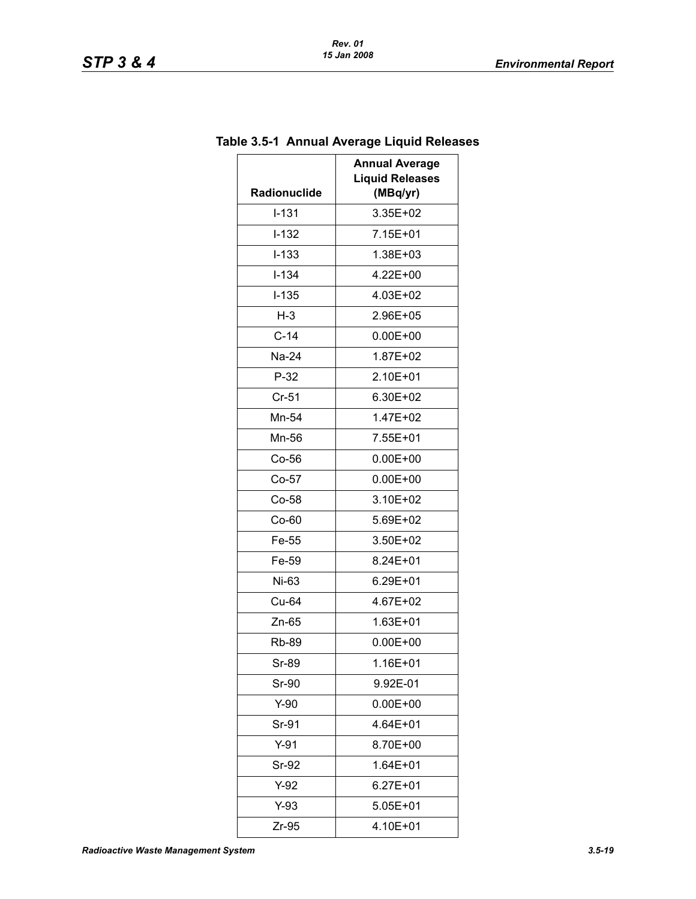| wyv ⊨iyuiu i<br><b>Annual Average</b> |  |  |
|---------------------------------------|--|--|
| <b>Liquid Releases</b>                |  |  |
| (MBq/yr)<br>3.35E+02                  |  |  |
|                                       |  |  |
| 7.15E+01                              |  |  |
| 1.38E+03                              |  |  |
| 4.22E+00                              |  |  |
| 4.03E+02                              |  |  |
| 2.96E+05                              |  |  |
| $0.00E + 00$                          |  |  |
| 1.87E+02                              |  |  |
| 2.10E+01                              |  |  |
| 6.30E+02                              |  |  |
| 1.47E+02                              |  |  |
| 7.55E+01                              |  |  |
| $0.00E + 00$                          |  |  |
| $0.00E + 00$                          |  |  |
| 3.10E+02                              |  |  |
| 5.69E+02                              |  |  |
| 3.50E+02                              |  |  |
| 8.24E+01                              |  |  |
| 6.29E+01                              |  |  |
| 4.67E+02                              |  |  |
| 1.63E+01                              |  |  |
| $0.00E + 00$                          |  |  |
| 1.16E+01                              |  |  |
| 9.92E-01                              |  |  |
| $0.00E + 00$                          |  |  |
| 4.64E+01                              |  |  |
| 8.70E+00                              |  |  |
| 1.64E+01                              |  |  |
| $6.27E + 01$                          |  |  |
| 5.05E+01                              |  |  |
| 4.10E+01                              |  |  |
|                                       |  |  |

# **Table 3.5-1 Annual Average Liquid Releases**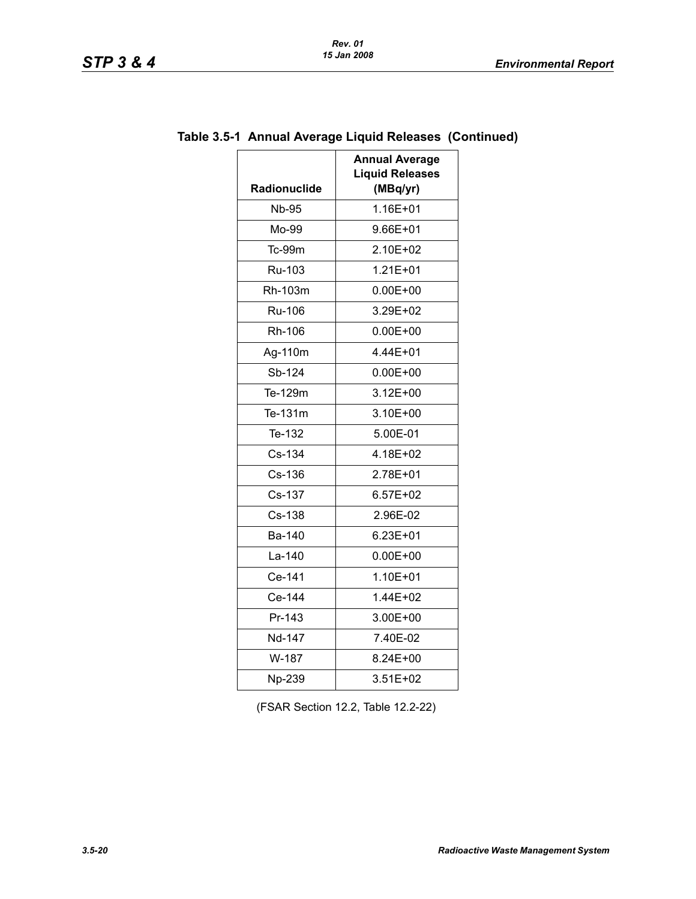| Radionuclide | <b>Annual Average</b><br><b>Liquid Releases</b><br>(MBq/yr) |
|--------------|-------------------------------------------------------------|
| <b>Nb-95</b> | 1.16E+01                                                    |
| Mo-99        | 9.66E+01                                                    |
| Tc-99m       | 2.10E+02                                                    |
| Ru-103       | $1.21E + 01$                                                |
| Rh-103m      | 0.00E+00                                                    |
| Ru-106       | 3.29E+02                                                    |
| Rh-106       | $0.00E + 00$                                                |
| Ag-110m      | 4.44E+01                                                    |
| Sb-124       | $0.00E + 00$                                                |
| Te-129m      | $3.12E + 00$                                                |
| Te-131m      | 3.10E+00                                                    |
| Te-132       | 5.00E-01                                                    |
| Cs-134       | 4.18E+02                                                    |
| Cs-136       | 2.78E+01                                                    |
| Cs-137       | $6.57E + 02$                                                |
| Cs-138       | 2.96E-02                                                    |
| Ba-140       | $6.23E + 01$                                                |
| La-140       | $0.00E + 00$                                                |
| Ce-141       | 1.10E+01                                                    |
| Ce-144       | 1.44E+02                                                    |
| Pr-143       | 3.00E+00                                                    |
| Nd-147       | 7.40E-02                                                    |
| W-187        | 8.24E+00                                                    |
| Np-239       | 3.51E+02                                                    |

# **Table 3.5-1 Annual Average Liquid Releases (Continued)**

(FSAR Section 12.2, Table 12.2-22)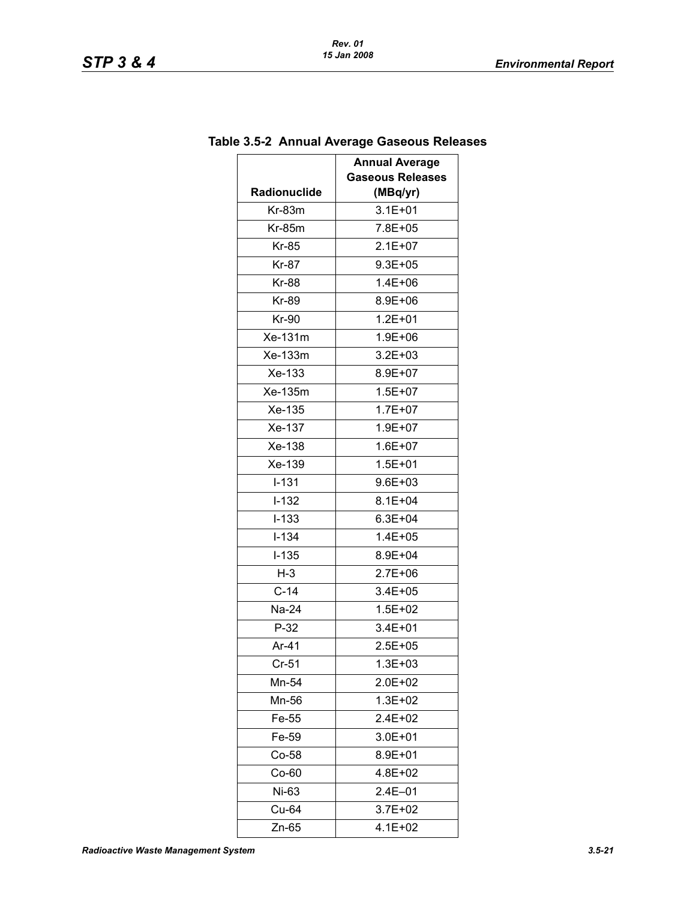|              | .<br><b>Annual Average</b> |
|--------------|----------------------------|
|              | <b>Gaseous Releases</b>    |
| Radionuclide | (MBq/yr)                   |
| $Kr-83m$     | $3.1E + 01$                |
| $Kr-85m$     | 7.8E+05                    |
| Kr-85        | $2.1E + 07$                |
| Kr-87        | $9.3E + 05$                |
| <b>Kr-88</b> | 1.4E+06                    |
| <b>Kr-89</b> | 8.9E+06                    |
| Kr-90        | $1.2E + 01$                |
| Xe-131m      | 1.9E+06                    |
| Xe-133m      | $3.2E + 03$                |
| Xe-133       | 8.9E+07                    |
| Xe-135m      | $1.5E + 07$                |
| Xe-135       | $1.7E + 07$                |
| Xe-137       | 1.9E+07                    |
| Xe-138       | $1.6E + 07$                |
| Xe-139       | $1.5E + 01$                |
| $I-131$      | $9.6E + 03$                |
| $I-132$      | $8.1E + 04$                |
| $I-133$      | $6.3E + 04$                |
| $I - 134$    | $1.4E + 05$                |
| $I-135$      | 8.9E+04                    |
| $H-3$        | $2.7E + 06$                |
| $C-14$       | 3.4E+05                    |
| Na-24        | $1.5E + 02$                |
| $P-32$       | 3.4E+01                    |
| Ar-41        | $2.5E + 05$                |
| $Cr-51$      | 1.3E+03                    |
| Mn-54        | 2.0E+02                    |
| Mn-56        | $1.3E + 02$                |
| Fe-55        | 2.4E+02                    |
| Fe-59        | 3.0E+01                    |
| $Co-58$      | 8.9E+01                    |
| $Co-60$      | 4.8E+02                    |
| Ni-63        | 2.4E-01                    |
| Cu-64        | $3.7E + 02$                |
| Zn-65        | 4.1E+02                    |

# **Table 3.5-2 Annual Average Gaseous Releases**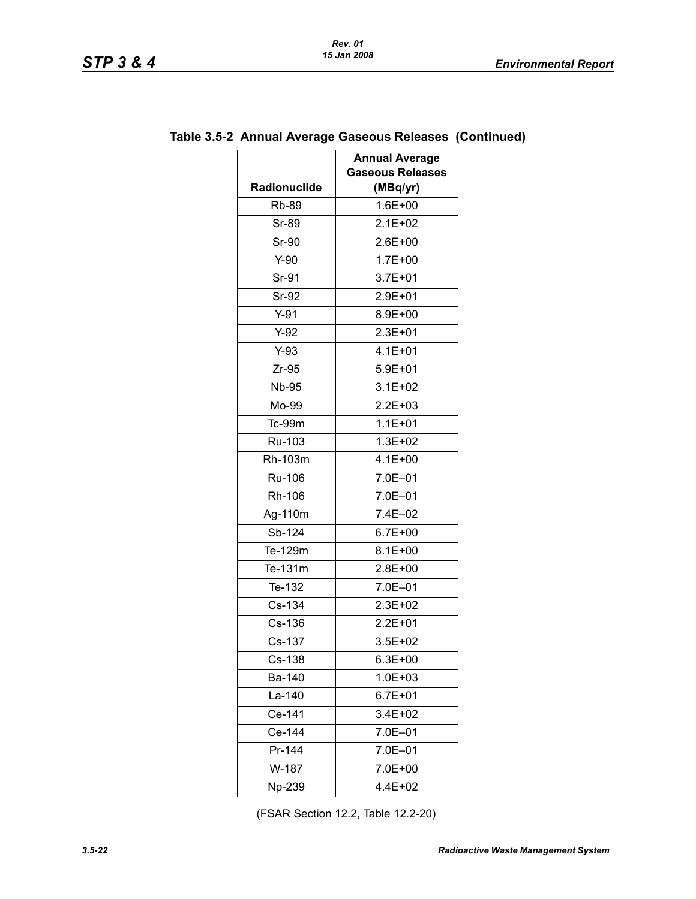| Radionuclide | <b>Annual Average</b><br><b>Gaseous Releases</b><br>(MBq/yr) |
|--------------|--------------------------------------------------------------|
| <b>Rb-89</b> | $1.6E + 00$                                                  |
| <b>Sr-89</b> | $2.1E + 02$                                                  |
| Sr-90        | $2.6E + 00$                                                  |
| $Y-90$       | $1.7E + 00$                                                  |
| Sr-91        | $3.7E + 01$                                                  |
| Sr-92        | 2.9E+01                                                      |
| $Y-91$       | 8.9E+00                                                      |
| $Y-92$       | $2.3E + 01$                                                  |
| $Y-93$       | $4.1E + 01$                                                  |
| $Zr-95$      | $5.9E + 01$                                                  |
| <b>Nb-95</b> | $3.1E + 02$                                                  |
| Mo-99        | $2.2E + 03$                                                  |
| Tc-99m       | $1.1E + 01$                                                  |
| Ru-103       | $1.3E + 02$                                                  |
| Rh-103m      | $4.1E + 00$                                                  |
| Ru-106       | 7.0E-01                                                      |
| Rh-106       | 7.0E-01                                                      |
| Ag-110m      | 7.4E-02                                                      |
| Sb-124       | $6.7E + 00$                                                  |
| Te-129m      | $8.1E + 00$                                                  |
| Te-131m      | 2.8E+00                                                      |
| Te-132       | 7.0E-01                                                      |
| Cs-134       | 2.3E+02                                                      |
| Cs-136       | $2.2E + 01$                                                  |
| Cs-137       | $3.5E + 02$                                                  |
| Cs-138       | 6.3E+00                                                      |
| Ba-140       | $1.0E + 03$                                                  |
| La-140       | $6.7E + 01$                                                  |
| Ce-141       | $3.4E + 02$                                                  |
| Ce-144       | 7.0E-01                                                      |
| Pr-144       | 7.0E-01                                                      |
| W-187        | 7.0E+00                                                      |
| Np-239       | 4.4E+02                                                      |

# **Table 3.5-2 Annual Average Gaseous Releases (Continued)**

(FSAR Section 12.2, Table 12.2-20)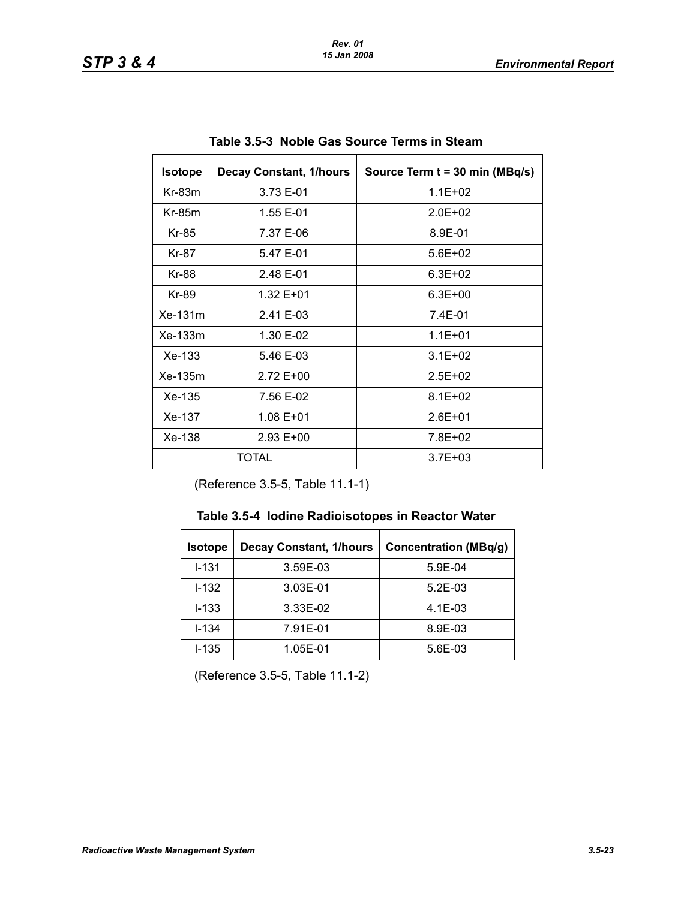| <b>Isotope</b> | <b>Decay Constant, 1/hours</b> | Source Term t = 30 min (MBq/s) |
|----------------|--------------------------------|--------------------------------|
| $Kr-83m$       | 3.73 E-01                      | $1.1E + 02$                    |
| $Kr-85m$       | 1.55 E-01                      | $2.0E + 02$                    |
| Kr-85          | 7.37 E-06                      | 8.9E-01                        |
| Kr-87          | 5.47 E-01                      | $5.6E + 02$                    |
| Kr-88          | 2.48 E-01                      | $6.3F + 02$                    |
| Kr-89          | 1.32 E+01                      | $6.3E + 00$                    |
| Xe-131m        | 2.41 E-03                      | 7.4E-01                        |
| $Xe-133m$      | 1.30 E-02                      | $1.1E + 01$                    |
| $Xe-133$       | 5.46 E-03                      | $3.1E + 02$                    |
| $Xe-135m$      | $2.72E + 00$                   | $2.5E + 02$                    |
| Xe-135         | 7.56 E-02                      | $8.1E + 02$                    |
| Xe-137         | $1.08E + 01$                   | $2.6E + 01$                    |
| $Xe-138$       | $2.93 E + 00$                  | 7.8E+02                        |
| TOTAL          |                                | $3.7E + 03$                    |

**Table 3.5-3 Noble Gas Source Terms in Steam** 

(Reference 3.5-5, Table 11.1-1)

| <b>Isotope</b> | <b>Decay Constant, 1/hours</b> | <b>Concentration (MBq/g)</b> |
|----------------|--------------------------------|------------------------------|
| $1 - 131$      | 3.59E-03                       | $5.9E-04$                    |
| $1 - 132$      | 3.03E-01                       | $5.2E-03$                    |
| $I - 133$      | 3.33E-02                       | $4.1E-03$                    |
| $I - 134$      | 7.91E-01                       | 8.9E-03                      |
| $I - 135$      | 1.05E-01                       | 5.6E-03                      |

(Reference 3.5-5, Table 11.1-2)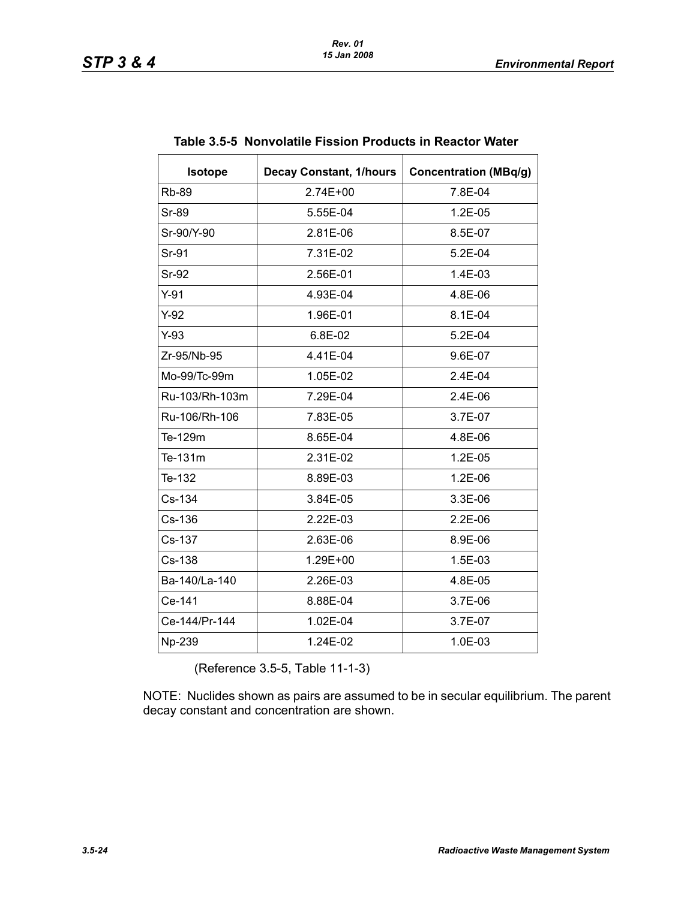| <b>Isotope</b> | <b>Decay Constant, 1/hours</b> | <b>Concentration (MBq/g)</b> |
|----------------|--------------------------------|------------------------------|
| <b>Rb-89</b>   | $2.74E + 00$                   | 7.8E-04                      |
| <b>Sr-89</b>   | 5.55E-04                       | $1.2E-05$                    |
| Sr-90/Y-90     | 2.81E-06                       | 8.5E-07                      |
| Sr-91          | 7.31E-02                       | $5.2E-04$                    |
| <b>Sr-92</b>   | 2.56E-01                       | 1.4E-03                      |
| $Y-91$         | 4.93E-04                       | 4.8E-06                      |
| $Y-92$         | 1.96E-01                       | 8.1E-04                      |
| $Y-93$         | 6.8E-02                        | 5.2E-04                      |
| Zr-95/Nb-95    | 4.41E-04                       | 9.6E-07                      |
| Mo-99/Tc-99m   | 1.05E-02                       | 2.4E-04                      |
| Ru-103/Rh-103m | 7.29E-04                       | 2.4E-06                      |
| Ru-106/Rh-106  | 7.83E-05                       | 3.7E-07                      |
| Te-129m        | 8.65E-04                       | 4.8E-06                      |
| Te-131m        | 2.31E-02                       | 1.2E-05                      |
| Te-132         | 8.89E-03                       | 1.2E-06                      |
| Cs-134         | 3.84E-05                       | 3.3E-06                      |
| $Cs-136$       | 2.22E-03                       | $2.2E-06$                    |
| Cs-137         | 2.63E-06                       | 8.9E-06                      |
| Cs-138         | 1.29E+00                       | 1.5E-03                      |
| Ba-140/La-140  | 2.26E-03                       | 4.8E-05                      |
| Ce-141         | 8.88E-04                       | 3.7E-06                      |
| Ce-144/Pr-144  | 1.02E-04                       | 3.7E-07                      |
| Np-239         | 1.24E-02                       | 1.0E-03                      |

|  |  | Table 3.5-5 Nonvolatile Fission Products in Reactor Water |
|--|--|-----------------------------------------------------------|
|  |  |                                                           |

(Reference 3.5-5, Table 11-1-3)

NOTE: Nuclides shown as pairs are assumed to be in secular equilibrium. The parent decay constant and concentration are shown.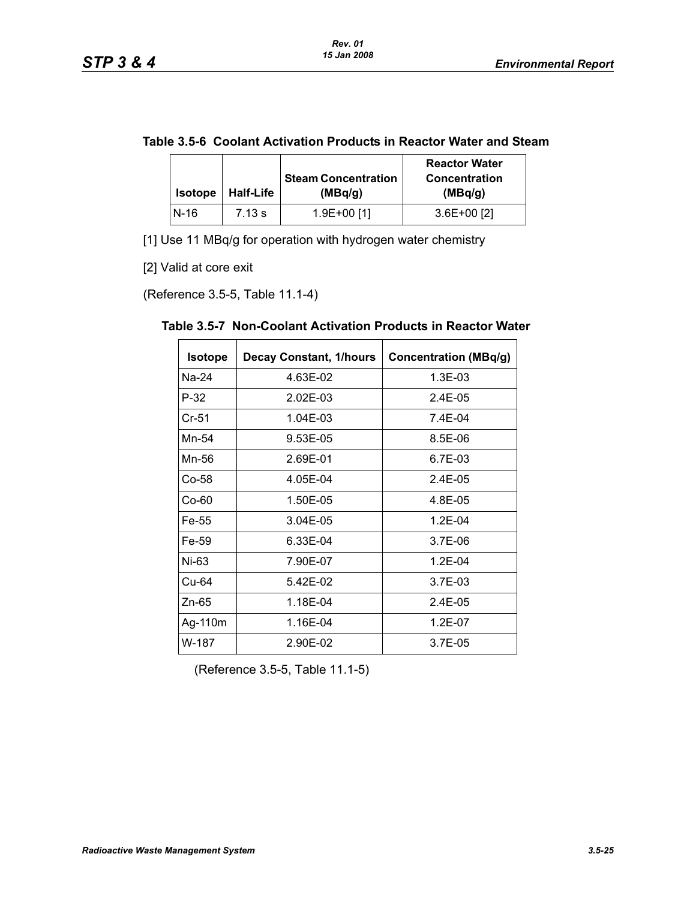|  | Table 3.5-6 Coolant Activation Products in Reactor Water and Steam |
|--|--------------------------------------------------------------------|
|--|--------------------------------------------------------------------|

| <b>Isotope</b> | <b>Half-Life</b> | <b>Steam Concentration</b><br>(MBq/q) | <b>Reactor Water</b><br><b>Concentration</b><br>(MBq/g) |
|----------------|------------------|---------------------------------------|---------------------------------------------------------|
| N-16           | 7.13 s           | 1.9E+00 [1]                           | $3.6E+00$ [2]                                           |

[1] Use 11 MBq/g for operation with hydrogen water chemistry

[2] Valid at core exit

(Reference 3.5-5, Table 11.1-4)

| <b>Isotope</b> | <b>Decay Constant, 1/hours</b> | <b>Concentration (MBq/g)</b> |
|----------------|--------------------------------|------------------------------|
| Na-24          | 4.63E-02                       | 1.3E-03                      |
| $P-32$         | 2.02E-03                       | $2.4E - 0.5$                 |
| $Cr-51$        | 1.04E-03                       | 7.4E-04                      |
| Mn-54          | 9.53E-05                       | 8.5E-06                      |
| Mn-56          | 2.69E-01                       | 6.7E-03                      |
| Co-58          | 4.05E-04                       | 2.4E-05                      |
| $Co-60$        | 1.50E-05                       | 4.8E-05                      |
| Fe-55          | 3.04E-05                       | $1.2E - 04$                  |
| Fe-59          | 6.33E-04                       | 3.7E-06                      |
| Ni-63          | 7.90E-07                       | 1.2E-04                      |
| Cu-64          | 5.42E-02                       | 3.7E-03                      |
| $Zn-65$        | 1.18E-04                       | $2.4E-0.5$                   |
| Ag-110m        | 1.16E-04                       | $1.2E - 07$                  |
| W-187          | 2.90E-02                       | 3.7E-05                      |

**Table 3.5-7 Non-Coolant Activation Products in Reactor Water** 

(Reference 3.5-5, Table 11.1-5)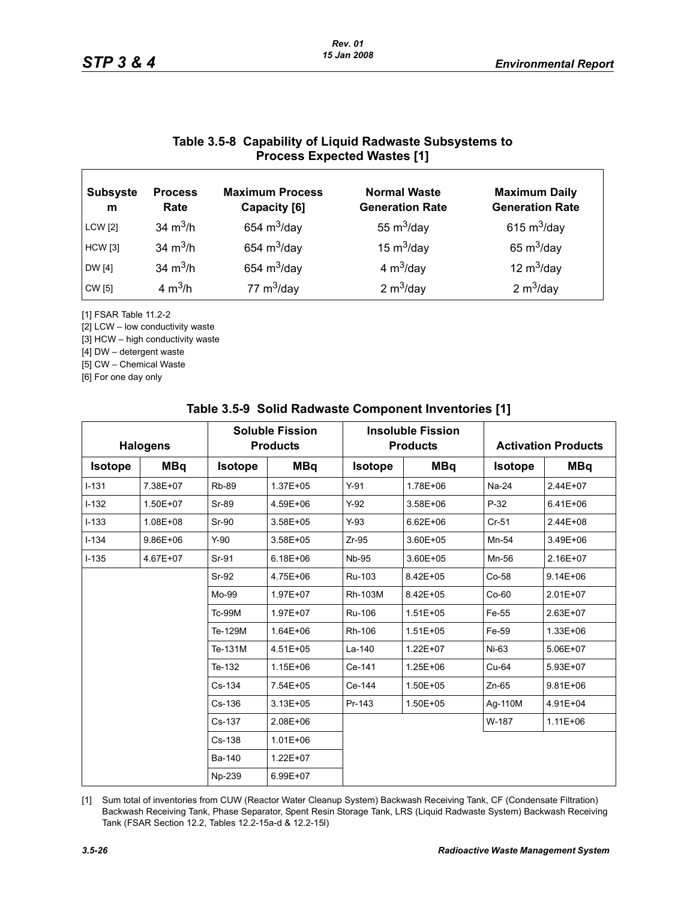### **Table 3.5-8 Capability of Liquid Radwaste Subsystems to Process Expected Wastes [1]**

| <b>Subsyste</b><br>m | <b>Process</b><br>Rate | <b>Maximum Process</b><br>Capacity [6] | <b>Normal Waste</b><br><b>Generation Rate</b> | <b>Maximum Daily</b><br><b>Generation Rate</b> |
|----------------------|------------------------|----------------------------------------|-----------------------------------------------|------------------------------------------------|
| <b>LCW</b> [2]       | 34 $m^3/h$             | 654 $m^3$ /day                         | 55 $m^3$ /day                                 | 615 $m^3$ /day                                 |
| <b>HCW</b> [3]       | 34 $m^3/h$             | 654 $m^3$ /day                         | 15 $m^3$ /day                                 | 65 $m^3$ /day                                  |
| DW [4]               | 34 $m^3/h$             | 654 $m^3$ /day                         | 4 $m^3$ /day                                  | 12 $m^3$ /day                                  |
| CW [5]               | 4 $m^3/h$              | 77 $m^3$ /day                          | 2 $m^3$ /day                                  | 2 $m^3$ /day                                   |

[1] FSAR Table 11.2-2

[2] LCW – low conductivity waste

[3] HCW – high conductivity waste

[4] DW – detergent waste

[5] CW – Chemical Waste

[6] For one day only

| <b>Halogens</b> |              |                | <b>Soluble Fission</b><br><b>Products</b> |                | <b>Insoluble Fission</b><br><b>Products</b> |                | <b>Activation Products</b> |  |
|-----------------|--------------|----------------|-------------------------------------------|----------------|---------------------------------------------|----------------|----------------------------|--|
| <b>Isotope</b>  | <b>MBq</b>   | <b>Isotope</b> | <b>MBq</b>                                | <b>Isotope</b> | <b>MBq</b>                                  | <b>Isotope</b> | <b>MBq</b>                 |  |
| $I-131$         | 7.38E+07     | <b>Rb-89</b>   | 1.37E+05                                  | $Y-91$         | 1.78E+06                                    | Na-24          | 2.44E+07                   |  |
| $I-132$         | 1.50E+07     | Sr-89          | 4.59E+06                                  | $Y-92$         | 3.58E+06                                    | $P-32$         | $6.41E + 06$               |  |
| $I-133$         | 1.08E+08     | Sr-90          | $3.58E + 05$                              | $Y-93$         | $6.62E + 06$                                | $Cr-51$        | 2.44E+08                   |  |
| $I - 134$       | $9.86E + 06$ | $Y-90$         | 3.58E+05                                  | $Zr-95$        | 3.60E+05                                    | Mn-54          | 3.49E+06                   |  |
| $I - 135$       | 4.67E+07     | Sr-91          | $6.18E + 06$                              | <b>Nb-95</b>   | 3.60E+05                                    | Mn-56          | 2.16E+07                   |  |
|                 |              | Sr-92          | 4.75E+06                                  | Ru-103         | 8.42E+05                                    | Co-58          | $9.14E + 06$               |  |
|                 |              | Mo-99          | 1.97E+07                                  | Rh-103M        | 8.42E+05                                    | $Co-60$        | 2.01E+07                   |  |
|                 |              | <b>Tc-99M</b>  | 1.97E+07                                  | Ru-106         | $1.51E + 05$                                | Fe-55          | 2.63E+07                   |  |
|                 |              | Te-129M        | 1.64E+06                                  | Rh-106         | $1.51E + 05$                                | Fe-59          | 1.33E+06                   |  |
|                 |              | Te-131M        | 4.51E+05                                  | La-140         | $1.22E + 07$                                | Ni-63          | 5.06E+07                   |  |
|                 |              | Te-132         | $1.15E + 06$                              | Ce-141         | 1.25E+06                                    | $Cu-64$        | 5.93E+07                   |  |
|                 |              | Cs-134         | 7.54E+05                                  | Ce-144         | 1.50E+05                                    | $Zn-65$        | $9.81E + 06$               |  |
|                 |              | Cs-136         | $3.13E + 05$                              | Pr-143         | 1.50E+05                                    | Ag-110M        | 4.91E+04                   |  |
|                 |              | Cs-137         | 2.08E+06                                  |                |                                             | W-187          | $1.11E + 06$               |  |
|                 |              | $Cs - 138$     | $1.01E + 06$                              |                |                                             |                |                            |  |
|                 |              | Ba-140         | 1.22E+07                                  |                |                                             |                |                            |  |
|                 |              | Np-239         | 6.99E+07                                  |                |                                             |                |                            |  |

#### **Table 3.5-9 Solid Radwaste Component Inventories [1]**

[1] Sum total of inventories from CUW (Reactor Water Cleanup System) Backwash Receiving Tank, CF (Condensate Filtration) Backwash Receiving Tank, Phase Separator, Spent Resin Storage Tank, LRS (Liquid Radwaste System) Backwash Receiving Tank (FSAR Section 12.2, Tables 12.2-15a-d & 12.2-15l)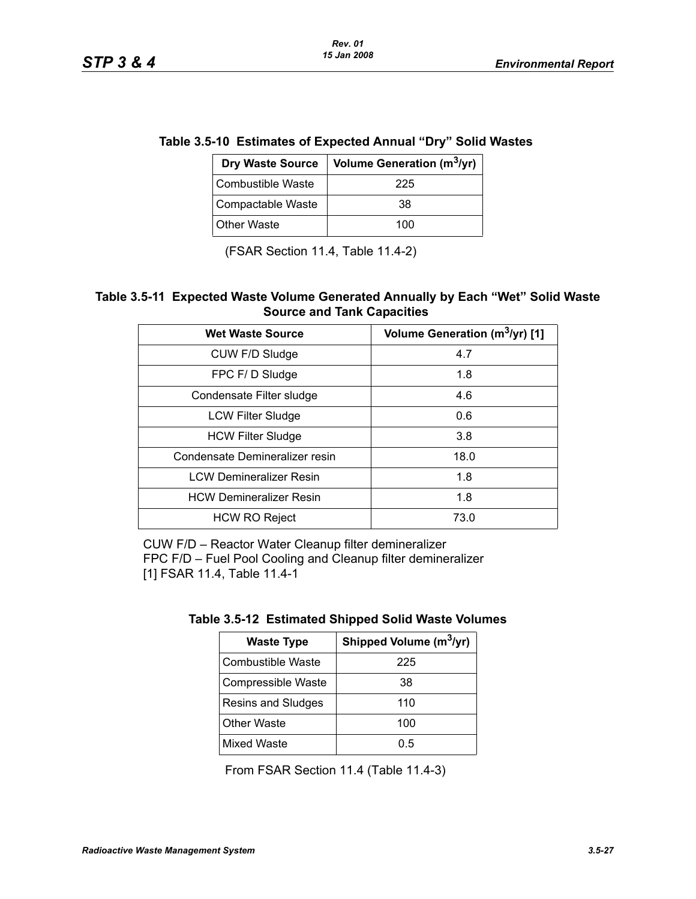|                   | Dry Waste Source   Volume Generation (m <sup>3</sup> /yr) |
|-------------------|-----------------------------------------------------------|
| Combustible Waste |                                                           |
| Compactable Waste | 38                                                        |

#### **Table 3.5-10 Estimates of Expected Annual "Dry" Solid Wastes**

(FSAR Section 11.4, Table 11.4-2)

Other Waste 100

#### **Table 3.5-11 Expected Waste Volume Generated Annually by Each "Wet" Solid Waste Source and Tank Capacities**

| <b>Wet Waste Source</b>        | Volume Generation (m <sup>3</sup> /yr) [1] |
|--------------------------------|--------------------------------------------|
| CUW F/D Sludge                 | 4.7                                        |
| FPC F/D Sludge                 | 1.8                                        |
| Condensate Filter sludge       | 4.6                                        |
| <b>LCW Filter Sludge</b>       | 0.6                                        |
| <b>HCW Filter Sludge</b>       | 3.8                                        |
| Condensate Demineralizer resin | 18.0                                       |
| <b>LCW Demineralizer Resin</b> | 1.8                                        |
| <b>HCW Demineralizer Resin</b> | 1.8                                        |
| <b>HCW RO Reject</b>           | 73.0                                       |

CUW F/D – Reactor Water Cleanup filter demineralizer FPC F/D – Fuel Pool Cooling and Cleanup filter demineralizer [1] FSAR 11.4, Table 11.4-1

| <b>Waste Type</b>  | Shipped Volume (m <sup>3</sup> /yr) |
|--------------------|-------------------------------------|
| Combustible Waste  | 225                                 |
| Compressible Waste | 38                                  |
| Resins and Sludges | 110                                 |
| <b>Other Waste</b> | 100                                 |
| <b>Mixed Waste</b> | ი 5                                 |

From FSAR Section 11.4 (Table 11.4-3)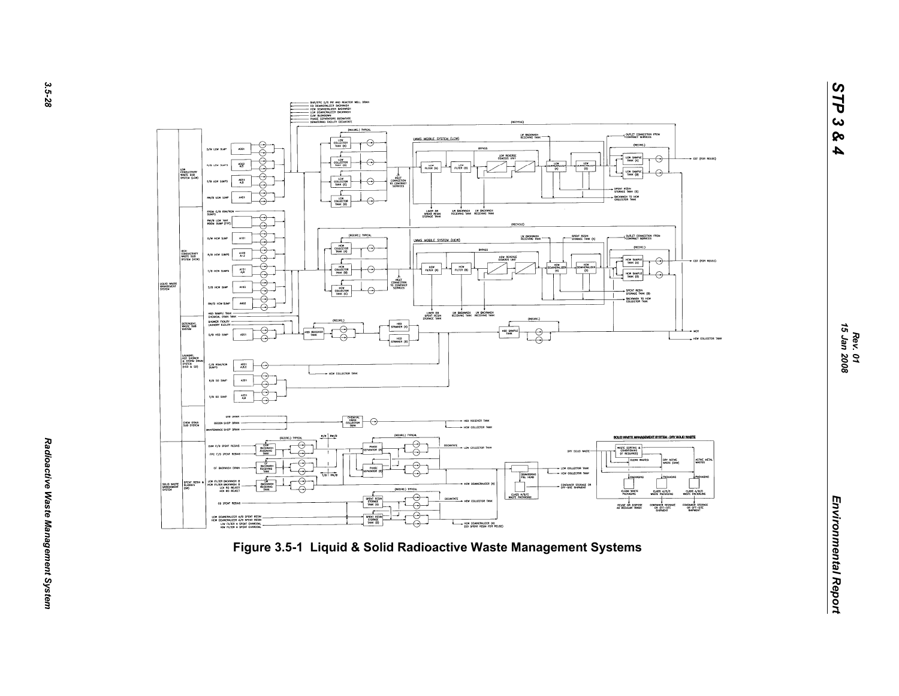